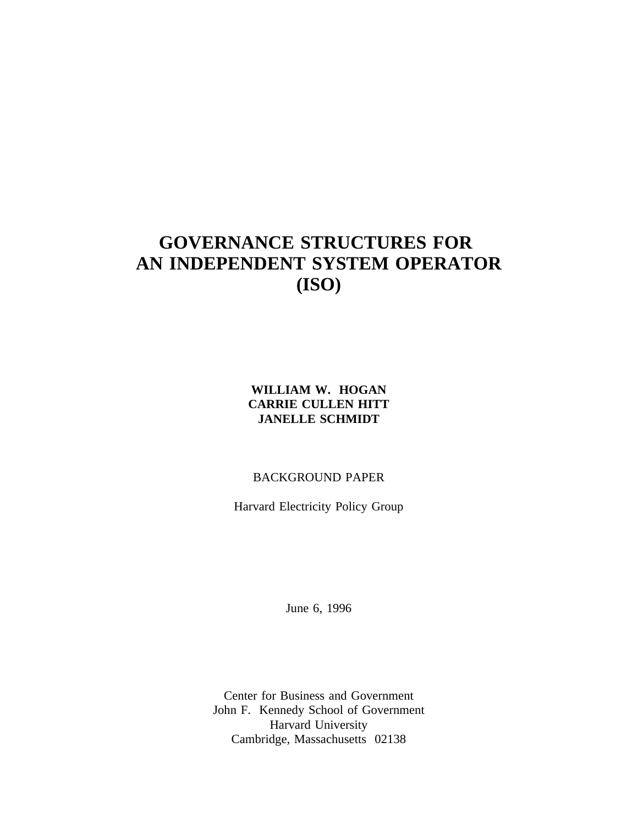# **GOVERNANCE STRUCTURES FOR AN INDEPENDENT SYSTEM OPERATOR (ISO)**

# **WILLIAM W. HOGAN CARRIE CULLEN HITT JANELLE SCHMIDT**

### BACKGROUND PAPER

Harvard Electricity Policy Group

June 6, 1996

Center for Business and Government John F. Kennedy School of Government Harvard University Cambridge, Massachusetts 02138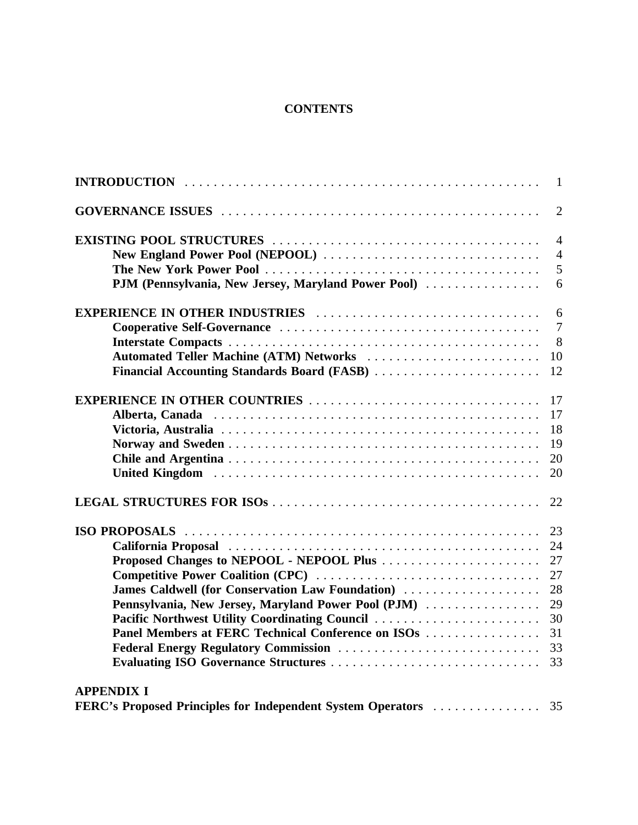# **CONTENTS**

|                                                     | 1              |
|-----------------------------------------------------|----------------|
|                                                     | $\overline{2}$ |
|                                                     | $\overline{4}$ |
| New England Power Pool (NEPOOL)                     | $\overline{4}$ |
|                                                     | 5              |
| PJM (Pennsylvania, New Jersey, Maryland Power Pool) | 6              |
| <b>EXPERIENCE IN OTHER INDUSTRIES</b>               | 6              |
|                                                     | $\tau$         |
|                                                     | 8              |
| Automated Teller Machine (ATM) Networks             | 10             |
| Financial Accounting Standards Board (FASB)         | 12             |
| EXPERIENCE IN OTHER COUNTRIES                       | 17             |
| Alberta, Canada                                     | 17             |
|                                                     | 18             |
|                                                     | 19             |
|                                                     | 20             |
|                                                     | 20             |
|                                                     | 22             |
|                                                     | 23             |
|                                                     | 24             |
|                                                     | 27             |
|                                                     | 27             |
| James Caldwell (for Conservation Law Foundation)    | 28             |
| Pennsylvania, New Jersey, Maryland Power Pool (PJM) | 29             |
| Pacific Northwest Utility Coordinating Council      | 30             |
| Panel Members at FERC Technical Conference on ISOs  | 31             |
| Federal Energy Regulatory Commission                | 33             |
|                                                     | 33             |
| <b>APPENDIX I</b>                                   |                |
|                                                     |                |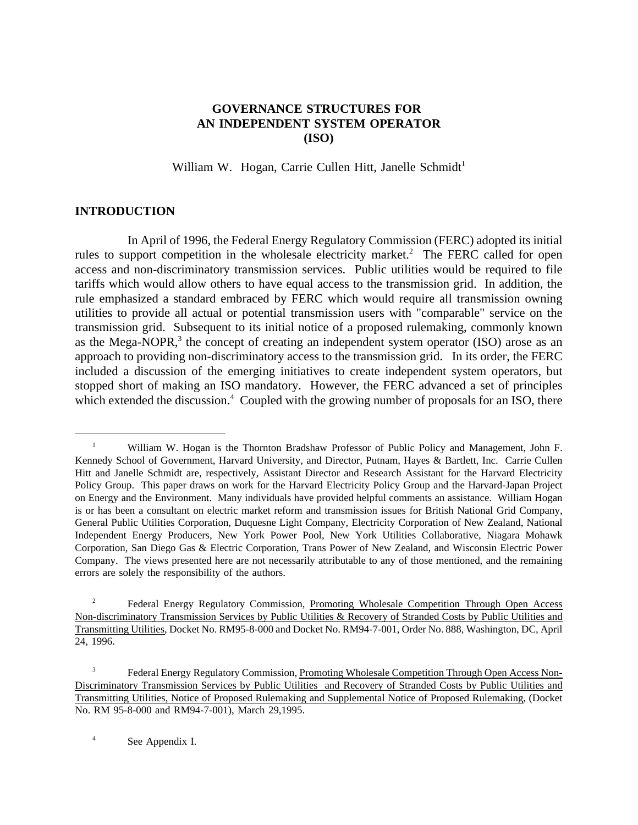### **GOVERNANCE STRUCTURES FOR AN INDEPENDENT SYSTEM OPERATOR (ISO)**

William W. Hogan, Carrie Cullen Hitt, Janelle Schmidt<sup>1</sup>

### **INTRODUCTION**

In April of 1996, the Federal Energy Regulatory Commission (FERC) adopted its initial rules to support competition in the wholesale electricity market.<sup>2</sup> The FERC called for open access and non-discriminatory transmission services. Public utilities would be required to file tariffs which would allow others to have equal access to the transmission grid. In addition, the rule emphasized a standard embraced by FERC which would require all transmission owning utilities to provide all actual or potential transmission users with "comparable" service on the transmission grid. Subsequent to its initial notice of a proposed rulemaking, commonly known as the Mega-NOPR,<sup>3</sup> the concept of creating an independent system operator (ISO) arose as an approach to providing non-discriminatory access to the transmission grid. In its order, the FERC included a discussion of the emerging initiatives to create independent system operators, but stopped short of making an ISO mandatory. However, the FERC advanced a set of principles which extended the discussion.<sup>4</sup> Coupled with the growing number of proposals for an ISO, there

<sup>&</sup>lt;sup>1</sup> William W. Hogan is the Thornton Bradshaw Professor of Public Policy and Management, John F. Kennedy School of Government, Harvard University, and Director, Putnam, Hayes & Bartlett, Inc. Carrie Cullen Hitt and Janelle Schmidt are, respectively, Assistant Director and Research Assistant for the Harvard Electricity Policy Group. This paper draws on work for the Harvard Electricity Policy Group and the Harvard-Japan Project on Energy and the Environment. Many individuals have provided helpful comments an assistance. William Hogan is or has been a consultant on electric market reform and transmission issues for British National Grid Company, General Public Utilities Corporation, Duquesne Light Company, Electricity Corporation of New Zealand, National Independent Energy Producers, New York Power Pool, New York Utilities Collaborative, Niagara Mohawk Corporation, San Diego Gas & Electric Corporation, Trans Power of New Zealand, and Wisconsin Electric Power Company. The views presented here are not necessarily attributable to any of those mentioned, and the remaining errors are solely the responsibility of the authors.

<sup>&</sup>lt;sup>2</sup> Federal Energy Regulatory Commission, Promoting Wholesale Competition Through Open Access Non-discriminatory Transmission Services by Public Utilities & Recovery of Stranded Costs by Public Utilities and Transmitting Utilities, Docket No. RM95-8-000 and Docket No. RM94-7-001, Order No. 888, Washington, DC, April 24, 1996.

<sup>&</sup>lt;sup>3</sup> Federal Energy Regulatory Commission, Promoting Wholesale Competition Through Open Access Non-Discriminatory Transmission Services by Public Utilities and Recovery of Stranded Costs by Public Utilities and Transmitting Utilities, Notice of Proposed Rulemaking and Supplemental Notice of Proposed Rulemaking, (Docket No. RM 95-8-000 and RM94-7-001), March 29,1995.

<sup>4</sup> See Appendix I.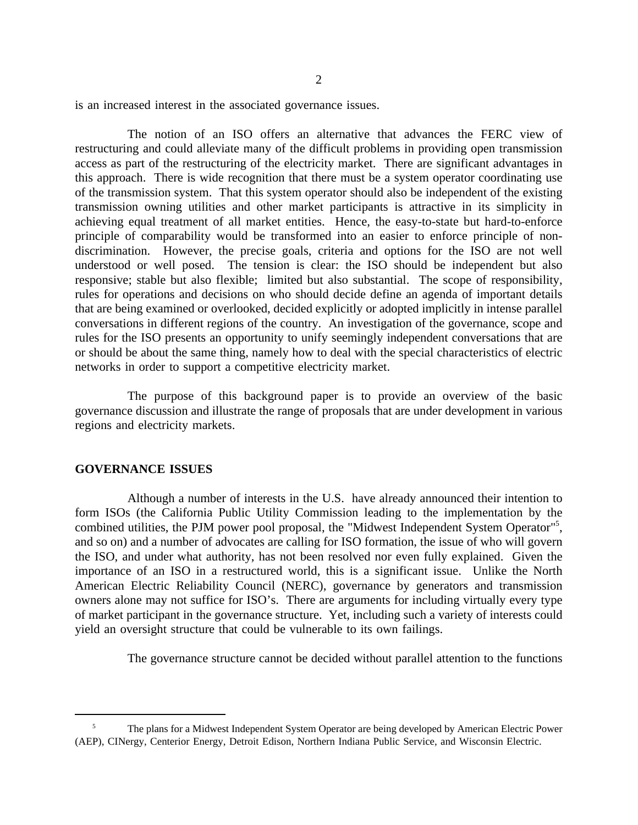is an increased interest in the associated governance issues.

The notion of an ISO offers an alternative that advances the FERC view of restructuring and could alleviate many of the difficult problems in providing open transmission access as part of the restructuring of the electricity market. There are significant advantages in this approach. There is wide recognition that there must be a system operator coordinating use of the transmission system. That this system operator should also be independent of the existing transmission owning utilities and other market participants is attractive in its simplicity in achieving equal treatment of all market entities. Hence, the easy-to-state but hard-to-enforce principle of comparability would be transformed into an easier to enforce principle of nondiscrimination. However, the precise goals, criteria and options for the ISO are not well understood or well posed. The tension is clear: the ISO should be independent but also responsive; stable but also flexible; limited but also substantial. The scope of responsibility, rules for operations and decisions on who should decide define an agenda of important details that are being examined or overlooked, decided explicitly or adopted implicitly in intense parallel conversations in different regions of the country. An investigation of the governance, scope and rules for the ISO presents an opportunity to unify seemingly independent conversations that are or should be about the same thing, namely how to deal with the special characteristics of electric networks in order to support a competitive electricity market.

The purpose of this background paper is to provide an overview of the basic governance discussion and illustrate the range of proposals that are under development in various regions and electricity markets.

### **GOVERNANCE ISSUES**

Although a number of interests in the U.S. have already announced their intention to form ISOs (the California Public Utility Commission leading to the implementation by the combined utilities, the PJM power pool proposal, the "Midwest Independent System Operator"<sup>5</sup>, and so on) and a number of advocates are calling for ISO formation, the issue of who will govern the ISO, and under what authority, has not been resolved nor even fully explained. Given the importance of an ISO in a restructured world, this is a significant issue. Unlike the North American Electric Reliability Council (NERC), governance by generators and transmission owners alone may not suffice for ISO's. There are arguments for including virtually every type of market participant in the governance structure. Yet, including such a variety of interests could yield an oversight structure that could be vulnerable to its own failings.

The governance structure cannot be decided without parallel attention to the functions

<sup>&</sup>lt;sup>5</sup> The plans for a Midwest Independent System Operator are being developed by American Electric Power (AEP), CINergy, Centerior Energy, Detroit Edison, Northern Indiana Public Service, and Wisconsin Electric.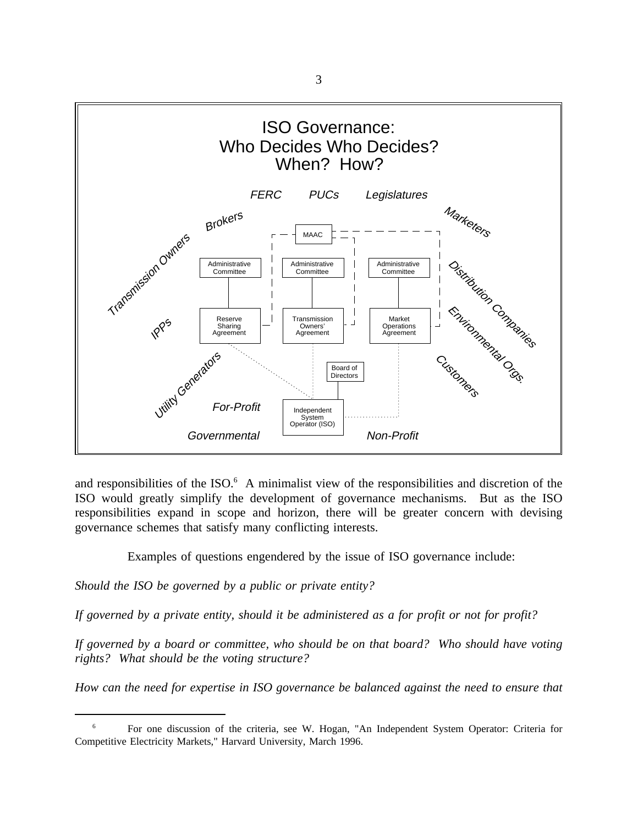

and responsibilities of the ISO.<sup>6</sup> A minimalist view of the responsibilities and discretion of the ISO would greatly simplify the development of governance mechanisms. But as the ISO responsibilities expand in scope and horizon, there will be greater concern with devising governance schemes that satisfy many conflicting interests.

Examples of questions engendered by the issue of ISO governance include:

*Should the ISO be governed by a public or private entity?*

*If governed by a private entity, should it be administered as a for profit or not for profit?*

*If governed by a board or committee, who should be on that board? Who should have voting rights? What should be the voting structure?*

*How can the need for expertise in ISO governance be balanced against the need to ensure that*

<sup>6</sup> For one discussion of the criteria, see W. Hogan, "An Independent System Operator: Criteria for Competitive Electricity Markets," Harvard University, March 1996.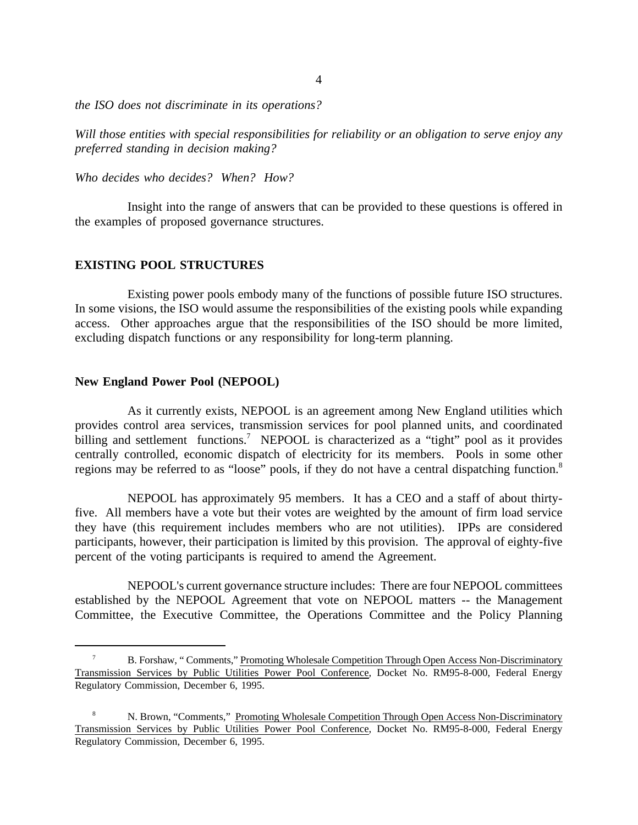*the ISO does not discriminate in its operations?*

*Will those entities with special responsibilities for reliability or an obligation to serve enjoy any preferred standing in decision making?*

*Who decides who decides? When? How?*

Insight into the range of answers that can be provided to these questions is offered in the examples of proposed governance structures.

### **EXISTING POOL STRUCTURES**

Existing power pools embody many of the functions of possible future ISO structures. In some visions, the ISO would assume the responsibilities of the existing pools while expanding access. Other approaches argue that the responsibilities of the ISO should be more limited, excluding dispatch functions or any responsibility for long-term planning.

### **New England Power Pool (NEPOOL)**

As it currently exists, NEPOOL is an agreement among New England utilities which provides control area services, transmission services for pool planned units, and coordinated billing and settlement functions.<sup>7</sup> NEPOOL is characterized as a "tight" pool as it provides centrally controlled, economic dispatch of electricity for its members. Pools in some other regions may be referred to as "loose" pools, if they do not have a central dispatching function.<sup>8</sup>

NEPOOL has approximately 95 members. It has a CEO and a staff of about thirtyfive. All members have a vote but their votes are weighted by the amount of firm load service they have (this requirement includes members who are not utilities). IPPs are considered participants, however, their participation is limited by this provision. The approval of eighty-five percent of the voting participants is required to amend the Agreement.

NEPOOL's current governance structure includes: There are four NEPOOL committees established by the NEPOOL Agreement that vote on NEPOOL matters -- the Management Committee, the Executive Committee, the Operations Committee and the Policy Planning

<sup>&</sup>lt;sup>7</sup> B. Forshaw, " Comments," Promoting Wholesale Competition Through Open Access Non-Discriminatory Transmission Services by Public Utilities Power Pool Conference, Docket No. RM95-8-000, Federal Energy Regulatory Commission, December 6, 1995.

<sup>8</sup> N. Brown, "Comments," Promoting Wholesale Competition Through Open Access Non-Discriminatory Transmission Services by Public Utilities Power Pool Conference, Docket No. RM95-8-000, Federal Energy Regulatory Commission, December 6, 1995.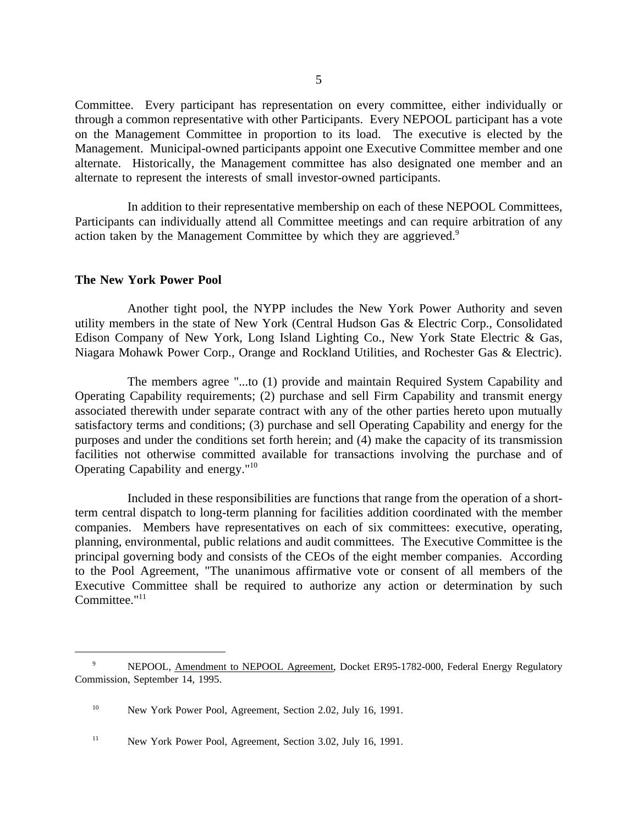Committee. Every participant has representation on every committee, either individually or through a common representative with other Participants. Every NEPOOL participant has a vote on the Management Committee in proportion to its load. The executive is elected by the Management. Municipal-owned participants appoint one Executive Committee member and one alternate. Historically, the Management committee has also designated one member and an alternate to represent the interests of small investor-owned participants.

In addition to their representative membership on each of these NEPOOL Committees, Participants can individually attend all Committee meetings and can require arbitration of any action taken by the Management Committee by which they are aggrieved.<sup>9</sup>

### **The New York Power Pool**

Another tight pool, the NYPP includes the New York Power Authority and seven utility members in the state of New York (Central Hudson Gas & Electric Corp., Consolidated Edison Company of New York, Long Island Lighting Co., New York State Electric & Gas, Niagara Mohawk Power Corp., Orange and Rockland Utilities, and Rochester Gas & Electric).

The members agree "...to (1) provide and maintain Required System Capability and Operating Capability requirements; (2) purchase and sell Firm Capability and transmit energy associated therewith under separate contract with any of the other parties hereto upon mutually satisfactory terms and conditions; (3) purchase and sell Operating Capability and energy for the purposes and under the conditions set forth herein; and (4) make the capacity of its transmission facilities not otherwise committed available for transactions involving the purchase and of Operating Capability and energy."10

Included in these responsibilities are functions that range from the operation of a shortterm central dispatch to long-term planning for facilities addition coordinated with the member companies. Members have representatives on each of six committees: executive, operating, planning, environmental, public relations and audit committees. The Executive Committee is the principal governing body and consists of the CEOs of the eight member companies. According to the Pool Agreement, "The unanimous affirmative vote or consent of all members of the Executive Committee shall be required to authorize any action or determination by such Committee."<sup>11</sup>

<sup>9</sup> NEPOOL, Amendment to NEPOOL Agreement, Docket ER95-1782-000, Federal Energy Regulatory Commission, September 14, 1995.

<sup>&</sup>lt;sup>10</sup> New York Power Pool, Agreement, Section 2.02, July 16, 1991.

<sup>&</sup>lt;sup>11</sup> New York Power Pool, Agreement, Section 3.02, July 16, 1991.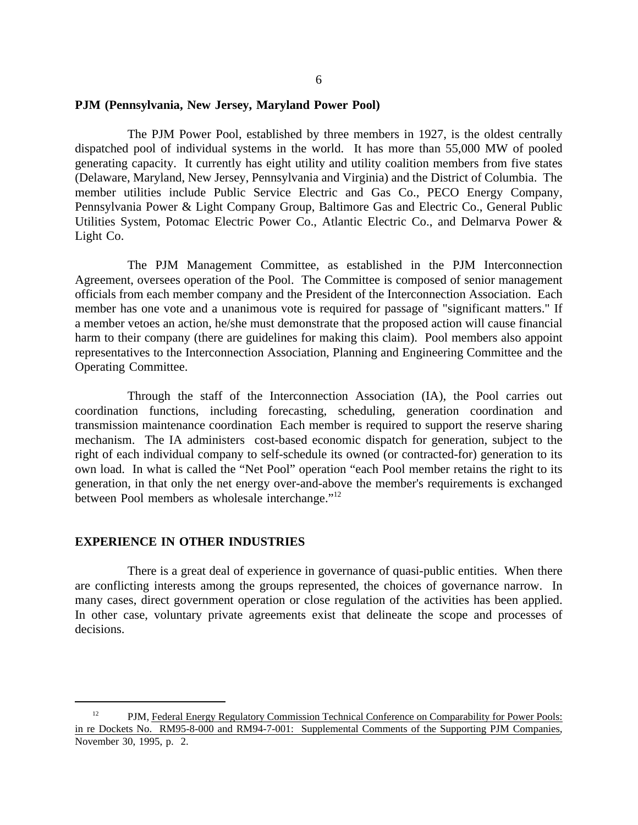#### 6

#### **PJM (Pennsylvania, New Jersey, Maryland Power Pool)**

The PJM Power Pool, established by three members in 1927, is the oldest centrally dispatched pool of individual systems in the world. It has more than 55,000 MW of pooled generating capacity. It currently has eight utility and utility coalition members from five states (Delaware, Maryland, New Jersey, Pennsylvania and Virginia) and the District of Columbia. The member utilities include Public Service Electric and Gas Co., PECO Energy Company, Pennsylvania Power & Light Company Group, Baltimore Gas and Electric Co., General Public Utilities System, Potomac Electric Power Co., Atlantic Electric Co., and Delmarva Power & Light Co.

The PJM Management Committee, as established in the PJM Interconnection Agreement, oversees operation of the Pool. The Committee is composed of senior management officials from each member company and the President of the Interconnection Association. Each member has one vote and a unanimous vote is required for passage of "significant matters." If a member vetoes an action, he/she must demonstrate that the proposed action will cause financial harm to their company (there are guidelines for making this claim). Pool members also appoint representatives to the Interconnection Association, Planning and Engineering Committee and the Operating Committee.

Through the staff of the Interconnection Association (IA), the Pool carries out coordination functions, including forecasting, scheduling, generation coordination and transmission maintenance coordination Each member is required to support the reserve sharing mechanism. The IA administers cost-based economic dispatch for generation, subject to the right of each individual company to self-schedule its owned (or contracted-for) generation to its own load. In what is called the "Net Pool" operation "each Pool member retains the right to its generation, in that only the net energy over-and-above the member's requirements is exchanged between Pool members as wholesale interchange."<sup>12</sup>

#### **EXPERIENCE IN OTHER INDUSTRIES**

There is a great deal of experience in governance of quasi-public entities. When there are conflicting interests among the groups represented, the choices of governance narrow. In many cases, direct government operation or close regulation of the activities has been applied. In other case, voluntary private agreements exist that delineate the scope and processes of decisions.

<sup>&</sup>lt;sup>12</sup> PJM, Federal Energy Regulatory Commission Technical Conference on Comparability for Power Pools: in re Dockets No. RM95-8-000 and RM94-7-001: Supplemental Comments of the Supporting PJM Companies, November 30, 1995, p. 2.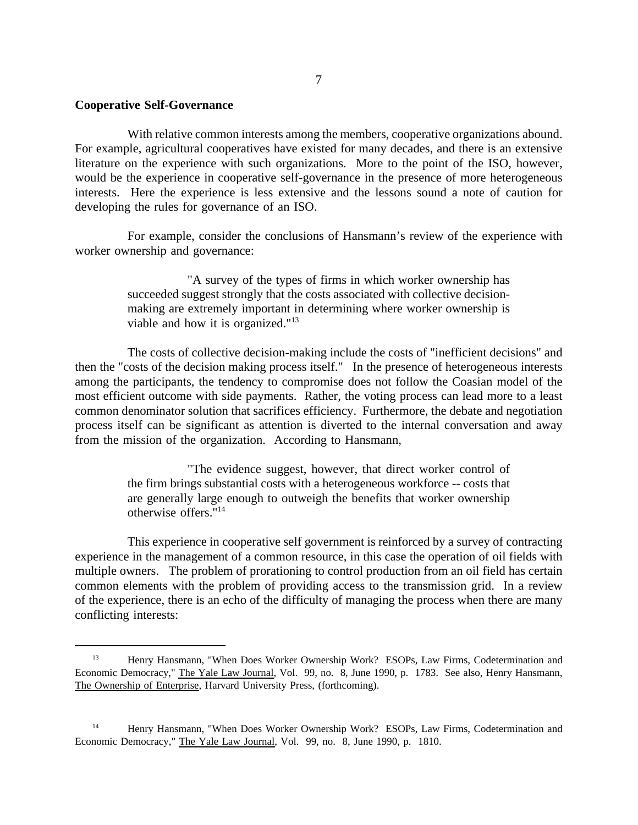#### **Cooperative Self-Governance**

With relative common interests among the members, cooperative organizations abound. For example, agricultural cooperatives have existed for many decades, and there is an extensive literature on the experience with such organizations. More to the point of the ISO, however, would be the experience in cooperative self-governance in the presence of more heterogeneous interests. Here the experience is less extensive and the lessons sound a note of caution for developing the rules for governance of an ISO.

For example, consider the conclusions of Hansmann's review of the experience with worker ownership and governance:

> "A survey of the types of firms in which worker ownership has succeeded suggest strongly that the costs associated with collective decisionmaking are extremely important in determining where worker ownership is viable and how it is organized."13

The costs of collective decision-making include the costs of "inefficient decisions" and then the "costs of the decision making process itself." In the presence of heterogeneous interests among the participants, the tendency to compromise does not follow the Coasian model of the most efficient outcome with side payments. Rather, the voting process can lead more to a least common denominator solution that sacrifices efficiency. Furthermore, the debate and negotiation process itself can be significant as attention is diverted to the internal conversation and away from the mission of the organization. According to Hansmann,

> "The evidence suggest, however, that direct worker control of the firm brings substantial costs with a heterogeneous workforce -- costs that are generally large enough to outweigh the benefits that worker ownership otherwise offers."14

This experience in cooperative self government is reinforced by a survey of contracting experience in the management of a common resource, in this case the operation of oil fields with multiple owners. The problem of prorationing to control production from an oil field has certain common elements with the problem of providing access to the transmission grid. In a review of the experience, there is an echo of the difficulty of managing the process when there are many conflicting interests:

<sup>&</sup>lt;sup>13</sup> Henry Hansmann, "When Does Worker Ownership Work? ESOPs, Law Firms, Codetermination and Economic Democracy," The Yale Law Journal, Vol. 99, no. 8, June 1990, p. 1783. See also, Henry Hansmann, The Ownership of Enterprise, Harvard University Press, (forthcoming).

<sup>&</sup>lt;sup>14</sup> Henry Hansmann, "When Does Worker Ownership Work? ESOPs, Law Firms, Codetermination and Economic Democracy," The Yale Law Journal, Vol. 99, no. 8, June 1990, p. 1810.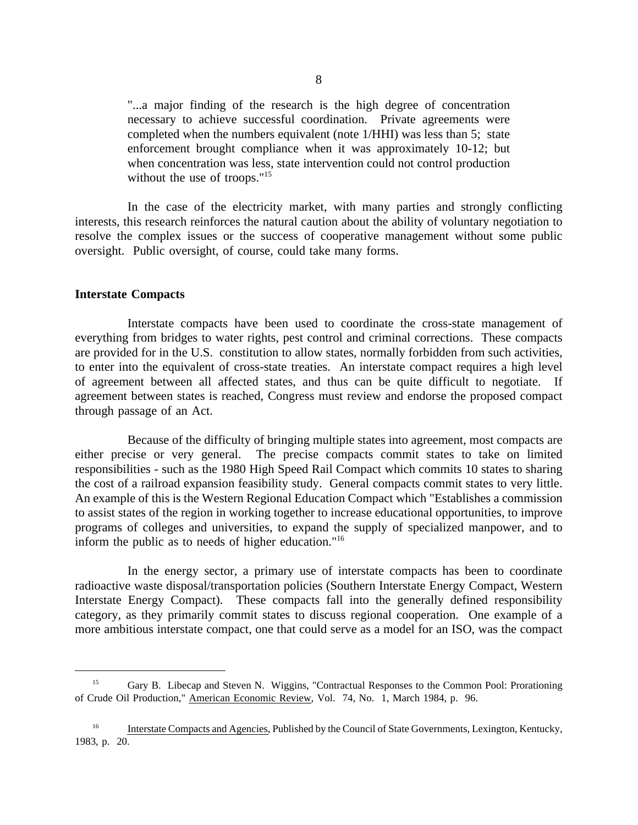"...a major finding of the research is the high degree of concentration necessary to achieve successful coordination. Private agreements were completed when the numbers equivalent (note 1/HHI) was less than 5; state enforcement brought compliance when it was approximately 10-12; but when concentration was less, state intervention could not control production without the use of troops."<sup>15</sup>

In the case of the electricity market, with many parties and strongly conflicting interests, this research reinforces the natural caution about the ability of voluntary negotiation to resolve the complex issues or the success of cooperative management without some public oversight. Public oversight, of course, could take many forms.

#### **Interstate Compacts**

Interstate compacts have been used to coordinate the cross-state management of everything from bridges to water rights, pest control and criminal corrections. These compacts are provided for in the U.S. constitution to allow states, normally forbidden from such activities, to enter into the equivalent of cross-state treaties. An interstate compact requires a high level of agreement between all affected states, and thus can be quite difficult to negotiate. If agreement between states is reached, Congress must review and endorse the proposed compact through passage of an Act.

Because of the difficulty of bringing multiple states into agreement, most compacts are either precise or very general. The precise compacts commit states to take on limited responsibilities - such as the 1980 High Speed Rail Compact which commits 10 states to sharing the cost of a railroad expansion feasibility study. General compacts commit states to very little. An example of this is the Western Regional Education Compact which "Establishes a commission to assist states of the region in working together to increase educational opportunities, to improve programs of colleges and universities, to expand the supply of specialized manpower, and to inform the public as to needs of higher education."16

In the energy sector, a primary use of interstate compacts has been to coordinate radioactive waste disposal/transportation policies (Southern Interstate Energy Compact, Western Interstate Energy Compact). These compacts fall into the generally defined responsibility category, as they primarily commit states to discuss regional cooperation. One example of a more ambitious interstate compact, one that could serve as a model for an ISO, was the compact

<sup>&</sup>lt;sup>15</sup> Gary B. Libecap and Steven N. Wiggins, "Contractual Responses to the Common Pool: Prorationing of Crude Oil Production," American Economic Review, Vol. 74, No. 1, March 1984, p. 96.

<sup>&</sup>lt;sup>16</sup> Interstate Compacts and Agencies, Published by the Council of State Governments, Lexington, Kentucky, 1983, p. 20.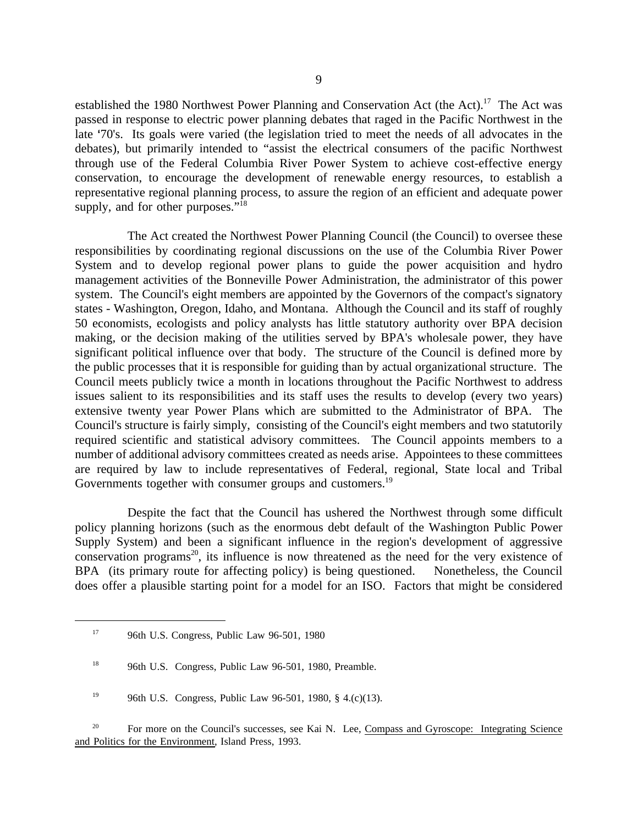established the 1980 Northwest Power Planning and Conservation Act (the Act).<sup>17</sup> The Act was passed in response to electric power planning debates that raged in the Pacific Northwest in the late 70's. Its goals were varied (the legislation tried to meet the needs of all advocates in the debates), but primarily intended to "assist the electrical consumers of the pacific Northwest through use of the Federal Columbia River Power System to achieve cost-effective energy conservation, to encourage the development of renewable energy resources, to establish a representative regional planning process, to assure the region of an efficient and adequate power supply, and for other purposes."<sup>18</sup>

The Act created the Northwest Power Planning Council (the Council) to oversee these responsibilities by coordinating regional discussions on the use of the Columbia River Power System and to develop regional power plans to guide the power acquisition and hydro management activities of the Bonneville Power Administration, the administrator of this power system. The Council's eight members are appointed by the Governors of the compact's signatory states - Washington, Oregon, Idaho, and Montana. Although the Council and its staff of roughly 50 economists, ecologists and policy analysts has little statutory authority over BPA decision making, or the decision making of the utilities served by BPA's wholesale power, they have significant political influence over that body. The structure of the Council is defined more by the public processes that it is responsible for guiding than by actual organizational structure. The Council meets publicly twice a month in locations throughout the Pacific Northwest to address issues salient to its responsibilities and its staff uses the results to develop (every two years) extensive twenty year Power Plans which are submitted to the Administrator of BPA. The Council's structure is fairly simply, consisting of the Council's eight members and two statutorily required scientific and statistical advisory committees. The Council appoints members to a number of additional advisory committees created as needs arise. Appointees to these committees are required by law to include representatives of Federal, regional, State local and Tribal Governments together with consumer groups and customers.<sup>19</sup>

Despite the fact that the Council has ushered the Northwest through some difficult policy planning horizons (such as the enormous debt default of the Washington Public Power Supply System) and been a significant influence in the region's development of aggressive conservation programs<sup>20</sup>, its influence is now threatened as the need for the very existence of BPA (its primary route for affecting policy) is being questioned. Nonetheless, the Council does offer a plausible starting point for a model for an ISO. Factors that might be considered

<sup>&</sup>lt;sup>17</sup> 96th U.S. Congress, Public Law 96-501, 1980

<sup>&</sup>lt;sup>18</sup> 96th U.S. Congress, Public Law 96-501, 1980, Preamble.

<sup>19</sup> 96th U.S. Congress, Public Law 96-501, 1980, § 4.(c)(13).

<sup>&</sup>lt;sup>20</sup> For more on the Council's successes, see Kai N. Lee, Compass and Gyroscope: Integrating Science and Politics for the Environment, Island Press, 1993.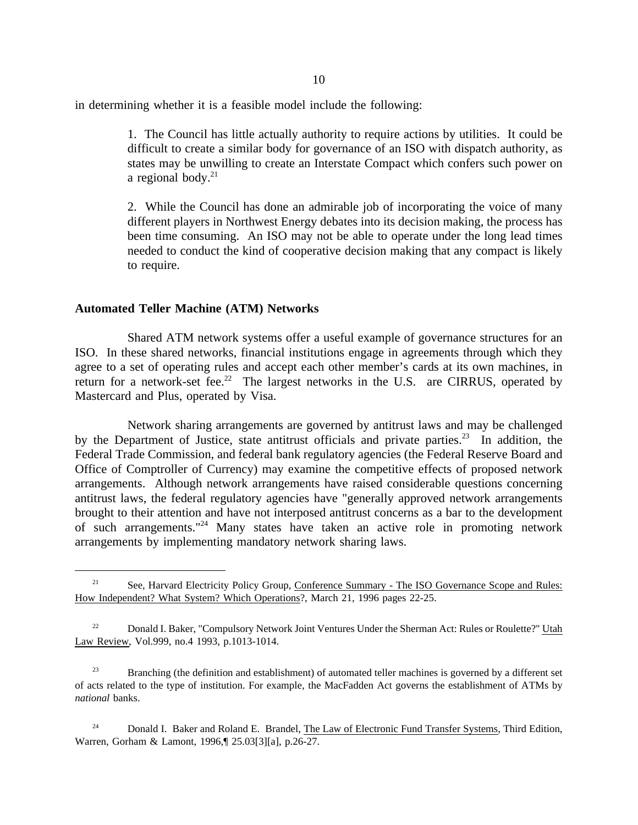in determining whether it is a feasible model include the following:

1. The Council has little actually authority to require actions by utilities. It could be difficult to create a similar body for governance of an ISO with dispatch authority, as states may be unwilling to create an Interstate Compact which confers such power on a regional body. $^{21}$ 

2. While the Council has done an admirable job of incorporating the voice of many different players in Northwest Energy debates into its decision making, the process has been time consuming. An ISO may not be able to operate under the long lead times needed to conduct the kind of cooperative decision making that any compact is likely to require.

### **Automated Teller Machine (ATM) Networks**

Shared ATM network systems offer a useful example of governance structures for an ISO. In these shared networks, financial institutions engage in agreements through which they agree to a set of operating rules and accept each other member's cards at its own machines, in return for a network-set fee.<sup>22</sup> The largest networks in the U.S. are CIRRUS, operated by Mastercard and Plus, operated by Visa.

Network sharing arrangements are governed by antitrust laws and may be challenged by the Department of Justice, state antitrust officials and private parties.<sup>23</sup> In addition, the Federal Trade Commission, and federal bank regulatory agencies (the Federal Reserve Board and Office of Comptroller of Currency) may examine the competitive effects of proposed network arrangements. Although network arrangements have raised considerable questions concerning antitrust laws, the federal regulatory agencies have "generally approved network arrangements brought to their attention and have not interposed antitrust concerns as a bar to the development of such arrangements."24 Many states have taken an active role in promoting network arrangements by implementing mandatory network sharing laws.

<sup>24</sup> Donald I. Baker and Roland E. Brandel, The Law of Electronic Fund Transfer Systems, Third Edition, Warren, Gorham & Lamont, 1996,¶ 25.03[3][a], p.26-27.

<sup>&</sup>lt;sup>21</sup> See, Harvard Electricity Policy Group, Conference Summary - The ISO Governance Scope and Rules: How Independent? What System? Which Operations?, March 21, 1996 pages 22-25.

<sup>&</sup>lt;sup>22</sup> Donald I. Baker, "Compulsory Network Joint Ventures Under the Sherman Act: Rules or Roulette?" Utah Law Review, Vol.999, no.4 1993, p.1013-1014.

<sup>&</sup>lt;sup>23</sup> Branching (the definition and establishment) of automated teller machines is governed by a different set of acts related to the type of institution. For example, the MacFadden Act governs the establishment of ATMs by *national* banks.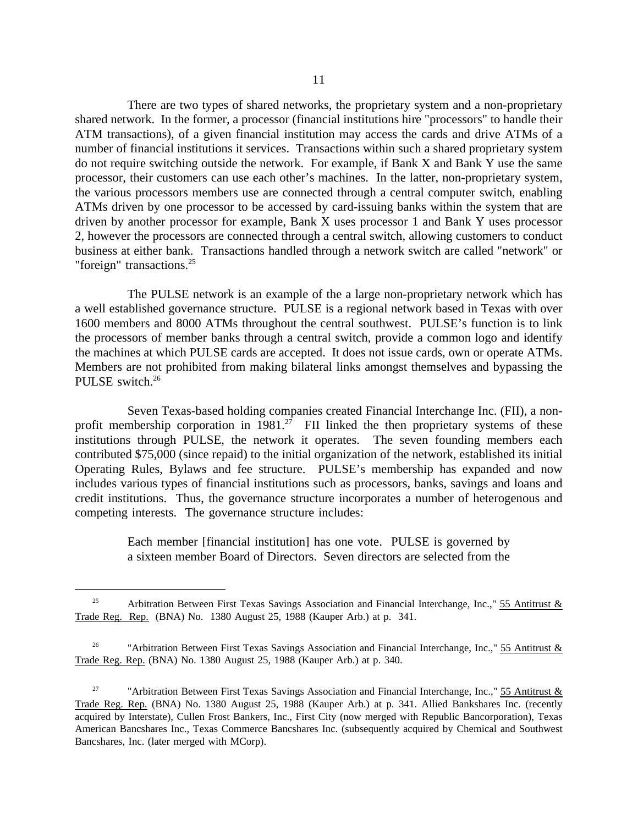ATM transactions), of a given financial institution may access the cards and drive ATMs of a number of financial institutions it services. Transactions within such a shared proprietary system do not require switching outside the network. For example, if Bank X and Bank Y use the same processor, their customers can use each other's machines. In the latter, non-proprietary system, the various processors members use are connected through a central computer switch, enabling ATMs driven by one processor to be accessed by card-issuing banks within the system that are driven by another processor for example, Bank X uses processor 1 and Bank Y uses processor 2, however the processors are connected through a central switch, allowing customers to conduct business at either bank. Transactions handled through a network switch are called "network" or "foreign" transactions.<sup>25</sup>

The PULSE network is an example of the a large non-proprietary network which has a well established governance structure. PULSE is a regional network based in Texas with over 1600 members and 8000 ATMs throughout the central southwest. PULSE's function is to link the processors of member banks through a central switch, provide a common logo and identify the machines at which PULSE cards are accepted. It does not issue cards, own or operate ATMs. Members are not prohibited from making bilateral links amongst themselves and bypassing the PULSE switch.<sup>26</sup>

Seven Texas-based holding companies created Financial Interchange Inc. (FII), a nonprofit membership corporation in  $1981.^{27}$  FII linked the then proprietary systems of these institutions through PULSE, the network it operates. The seven founding members each contributed \$75,000 (since repaid) to the initial organization of the network, established its initial Operating Rules, Bylaws and fee structure. PULSE's membership has expanded and now includes various types of financial institutions such as processors, banks, savings and loans and credit institutions. Thus, the governance structure incorporates a number of heterogenous and competing interests. The governance structure includes:

> Each member [financial institution] has one vote. PULSE is governed by a sixteen member Board of Directors. Seven directors are selected from the

<sup>&</sup>lt;sup>25</sup> Arbitration Between First Texas Savings Association and Financial Interchange, Inc.," 55 Antitrust  $\&$ Trade Reg. Rep. (BNA) No. 1380 August 25, 1988 (Kauper Arb.) at p. 341.

<sup>&</sup>lt;sup>26</sup> "Arbitration Between First Texas Savings Association and Financial Interchange, Inc.," 55 Antitrust  $\&$ Trade Reg. Rep. (BNA) No. 1380 August 25, 1988 (Kauper Arb.) at p. 340.

<sup>&</sup>lt;sup>27</sup> "Arbitration Between First Texas Savings Association and Financial Interchange, Inc.," 55 Antitrust & Trade Reg. Rep. (BNA) No. 1380 August 25, 1988 (Kauper Arb.) at p. 341. Allied Bankshares Inc. (recently acquired by Interstate), Cullen Frost Bankers, Inc., First City (now merged with Republic Bancorporation), Texas American Bancshares Inc., Texas Commerce Bancshares Inc. (subsequently acquired by Chemical and Southwest Bancshares, Inc. (later merged with MCorp).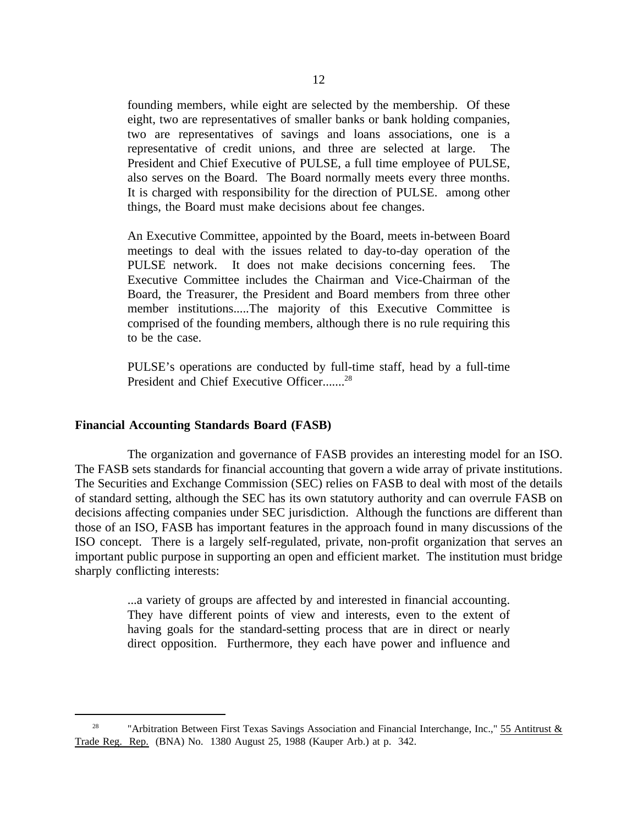founding members, while eight are selected by the membership. Of these eight, two are representatives of smaller banks or bank holding companies, two are representatives of savings and loans associations, one is a representative of credit unions, and three are selected at large. The President and Chief Executive of PULSE, a full time employee of PULSE, also serves on the Board. The Board normally meets every three months. It is charged with responsibility for the direction of PULSE. among other things, the Board must make decisions about fee changes.

An Executive Committee, appointed by the Board, meets in-between Board meetings to deal with the issues related to day-to-day operation of the PULSE network. It does not make decisions concerning fees. The Executive Committee includes the Chairman and Vice-Chairman of the Board, the Treasurer, the President and Board members from three other member institutions.....The majority of this Executive Committee is comprised of the founding members, although there is no rule requiring this to be the case.

PULSE's operations are conducted by full-time staff, head by a full-time President and Chief Executive Officer.......<sup>28</sup>

### **Financial Accounting Standards Board (FASB)**

The organization and governance of FASB provides an interesting model for an ISO. The FASB sets standards for financial accounting that govern a wide array of private institutions. The Securities and Exchange Commission (SEC) relies on FASB to deal with most of the details of standard setting, although the SEC has its own statutory authority and can overrule FASB on decisions affecting companies under SEC jurisdiction. Although the functions are different than those of an ISO, FASB has important features in the approach found in many discussions of the ISO concept. There is a largely self-regulated, private, non-profit organization that serves an important public purpose in supporting an open and efficient market. The institution must bridge sharply conflicting interests:

> ...a variety of groups are affected by and interested in financial accounting. They have different points of view and interests, even to the extent of having goals for the standard-setting process that are in direct or nearly direct opposition. Furthermore, they each have power and influence and

<sup>&</sup>lt;sup>28</sup> "Arbitration Between First Texas Savings Association and Financial Interchange, Inc.," 55 Antitrust & Trade Reg. Rep. (BNA) No. 1380 August 25, 1988 (Kauper Arb.) at p. 342.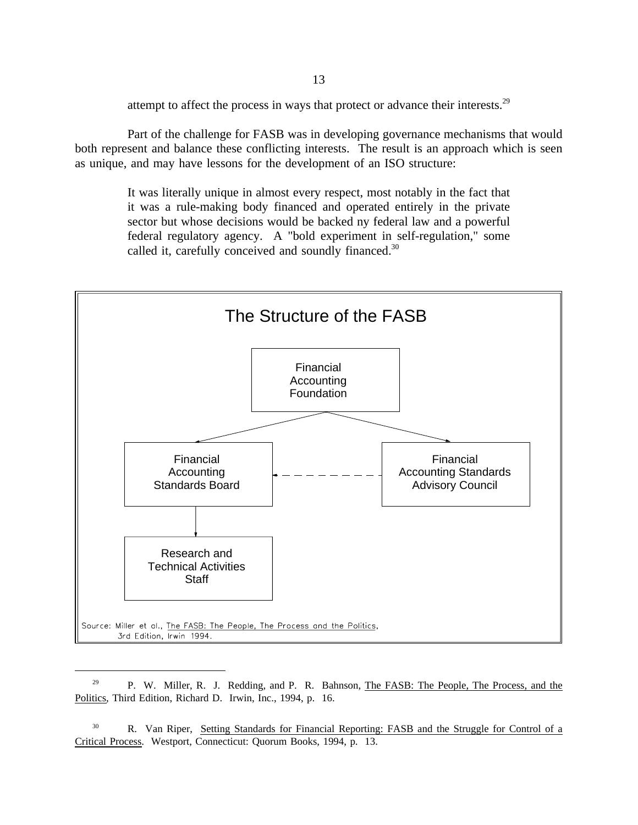attempt to affect the process in ways that protect or advance their interests.<sup>29</sup>

Part of the challenge for FASB was in developing governance mechanisms that would both represent and balance these conflicting interests. The result is an approach which is seen as unique, and may have lessons for the development of an ISO structure:

> It was literally unique in almost every respect, most notably in the fact that it was a rule-making body financed and operated entirely in the private sector but whose decisions would be backed ny federal law and a powerful federal regulatory agency. A "bold experiment in self-regulation," some called it, carefully conceived and soundly financed.<sup>30</sup>



<sup>29</sup> P. W. Miller, R. J. Redding, and P. R. Bahnson, The FASB: The People, The Process, and the Politics, Third Edition, Richard D. Irwin, Inc., 1994, p. 16.

<sup>30</sup> R. Van Riper, Setting Standards for Financial Reporting: FASB and the Struggle for Control of a Critical Process. Westport, Connecticut: Quorum Books, 1994, p. 13.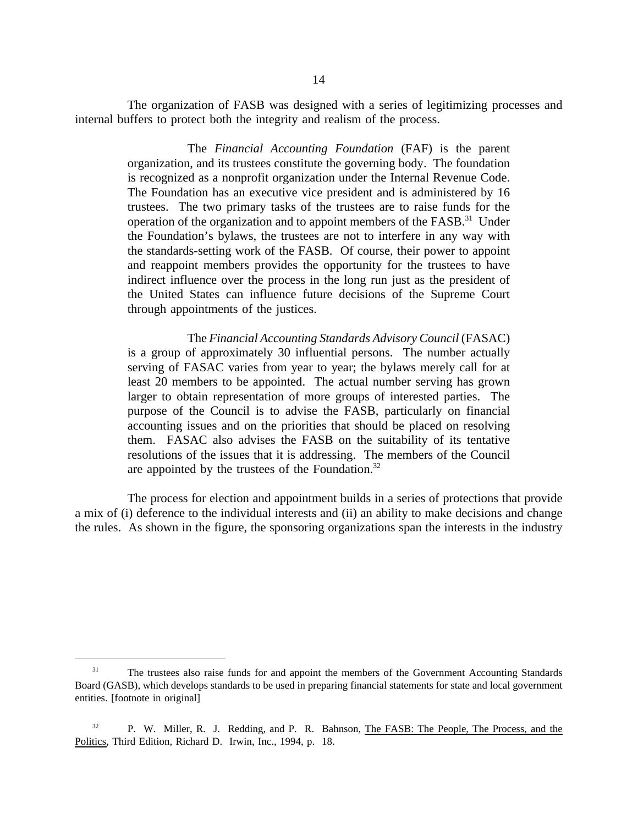The organization of FASB was designed with a series of legitimizing processes and internal buffers to protect both the integrity and realism of the process.

> The *Financial Accounting Foundation* (FAF) is the parent organization, and its trustees constitute the governing body. The foundation is recognized as a nonprofit organization under the Internal Revenue Code. The Foundation has an executive vice president and is administered by 16 trustees. The two primary tasks of the trustees are to raise funds for the operation of the organization and to appoint members of the FASB.<sup>31</sup> Under the Foundation's bylaws, the trustees are not to interfere in any way with the standards-setting work of the FASB. Of course, their power to appoint and reappoint members provides the opportunity for the trustees to have indirect influence over the process in the long run just as the president of the United States can influence future decisions of the Supreme Court through appointments of the justices.

> The *Financial Accounting Standards Advisory Council* (FASAC) is a group of approximately 30 influential persons. The number actually serving of FASAC varies from year to year; the bylaws merely call for at least 20 members to be appointed. The actual number serving has grown larger to obtain representation of more groups of interested parties. The purpose of the Council is to advise the FASB, particularly on financial accounting issues and on the priorities that should be placed on resolving them. FASAC also advises the FASB on the suitability of its tentative resolutions of the issues that it is addressing. The members of the Council are appointed by the trustees of the Foundation.<sup>32</sup>

The process for election and appointment builds in a series of protections that provide a mix of (i) deference to the individual interests and (ii) an ability to make decisions and change the rules. As shown in the figure, the sponsoring organizations span the interests in the industry

<sup>&</sup>lt;sup>31</sup> The trustees also raise funds for and appoint the members of the Government Accounting Standards Board (GASB), which develops standards to be used in preparing financial statements for state and local government entities. [footnote in original]

<sup>&</sup>lt;sup>32</sup> P. W. Miller, R. J. Redding, and P. R. Bahnson, The FASB: The People, The Process, and the Politics, Third Edition, Richard D. Irwin, Inc., 1994, p. 18.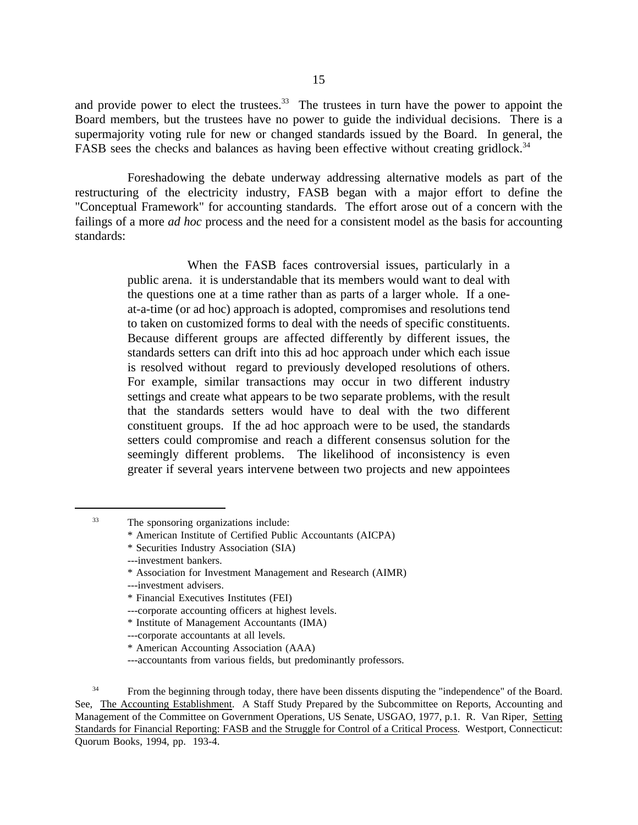and provide power to elect the trustees.<sup>33</sup> The trustees in turn have the power to appoint the Board members, but the trustees have no power to guide the individual decisions. There is a supermajority voting rule for new or changed standards issued by the Board. In general, the FASB sees the checks and balances as having been effective without creating gridlock.<sup>34</sup>

Foreshadowing the debate underway addressing alternative models as part of the restructuring of the electricity industry, FASB began with a major effort to define the "Conceptual Framework" for accounting standards. The effort arose out of a concern with the failings of a more *ad hoc* process and the need for a consistent model as the basis for accounting standards:

> When the FASB faces controversial issues, particularly in a public arena. it is understandable that its members would want to deal with the questions one at a time rather than as parts of a larger whole. If a oneat-a-time (or ad hoc) approach is adopted, compromises and resolutions tend to taken on customized forms to deal with the needs of specific constituents. Because different groups are affected differently by different issues, the standards setters can drift into this ad hoc approach under which each issue is resolved without regard to previously developed resolutions of others. For example, similar transactions may occur in two different industry settings and create what appears to be two separate problems, with the result that the standards setters would have to deal with the two different constituent groups. If the ad hoc approach were to be used, the standards setters could compromise and reach a different consensus solution for the seemingly different problems. The likelihood of inconsistency is even greater if several years intervene between two projects and new appointees

<sup>33</sup> The sponsoring organizations include:

<sup>\*</sup> American Institute of Certified Public Accountants (AICPA)

<sup>\*</sup> Securities Industry Association (SIA)

<sup>---</sup>investment bankers.

<sup>\*</sup> Association for Investment Management and Research (AIMR)

<sup>---</sup>investment advisers.

<sup>\*</sup> Financial Executives Institutes (FEI)

<sup>---</sup>corporate accounting officers at highest levels.

<sup>\*</sup> Institute of Management Accountants (IMA)

<sup>---</sup>corporate accountants at all levels.

<sup>\*</sup> American Accounting Association (AAA)

<sup>---</sup>accountants from various fields, but predominantly professors.

<sup>&</sup>lt;sup>34</sup> From the beginning through today, there have been dissents disputing the "independence" of the Board. See, The Accounting Establishment. A Staff Study Prepared by the Subcommittee on Reports, Accounting and Management of the Committee on Government Operations, US Senate, USGAO, 1977, p.1. R. Van Riper, Setting Standards for Financial Reporting: FASB and the Struggle for Control of a Critical Process. Westport, Connecticut: Quorum Books, 1994, pp. 193-4.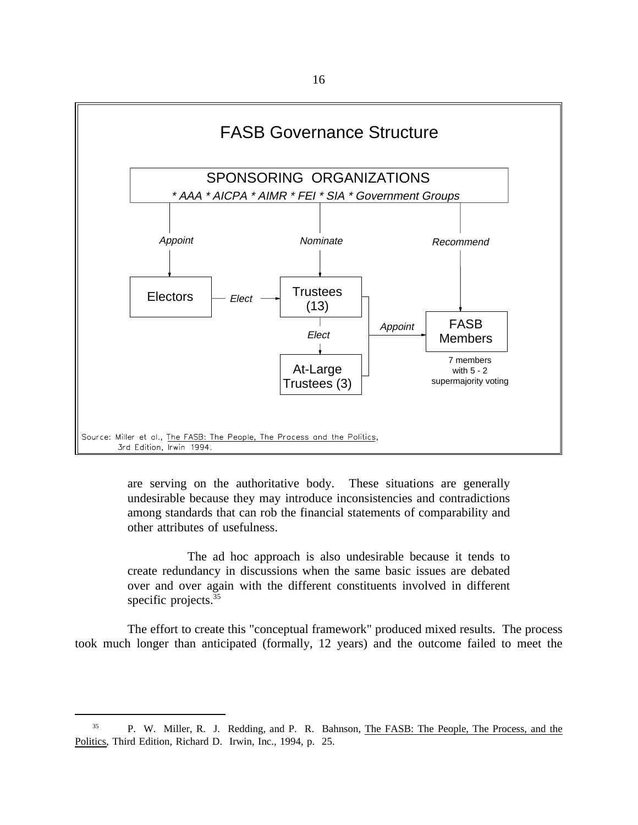

are serving on the authoritative body. These situations are generally undesirable because they may introduce inconsistencies and contradictions among standards that can rob the financial statements of comparability and other attributes of usefulness.

The ad hoc approach is also undesirable because it tends to create redundancy in discussions when the same basic issues are debated over and over again with the different constituents involved in different specific projects. $35$ 

The effort to create this "conceptual framework" produced mixed results. The process took much longer than anticipated (formally, 12 years) and the outcome failed to meet the

<sup>&</sup>lt;sup>35</sup> P. W. Miller, R. J. Redding, and P. R. Bahnson, The FASB: The People, The Process, and the Politics, Third Edition, Richard D. Irwin, Inc., 1994, p. 25.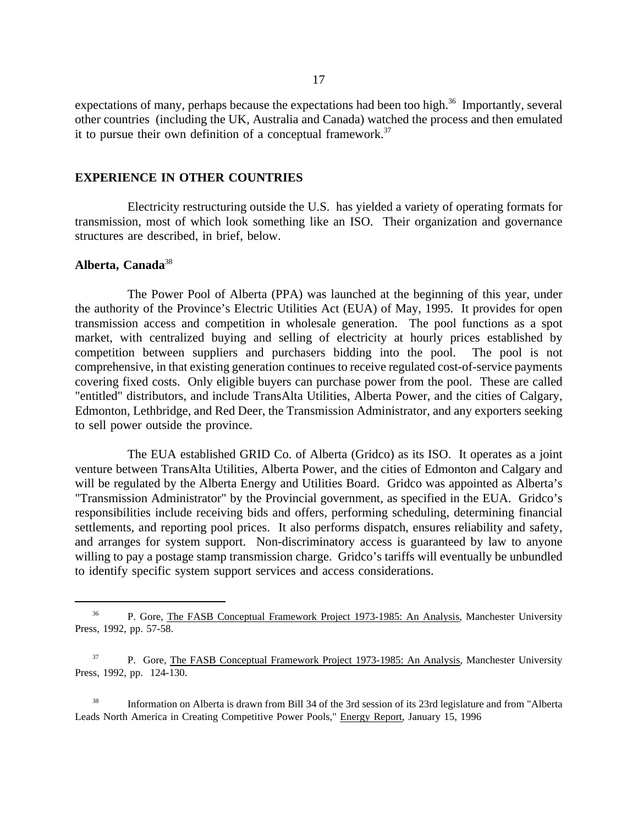expectations of many, perhaps because the expectations had been too high.<sup>36</sup> Importantly, several other countries (including the UK, Australia and Canada) watched the process and then emulated it to pursue their own definition of a conceptual framework. $37$ 

### **EXPERIENCE IN OTHER COUNTRIES**

Electricity restructuring outside the U.S. has yielded a variety of operating formats for transmission, most of which look something like an ISO. Their organization and governance structures are described, in brief, below.

### **Alberta, Canada**<sup>38</sup>

The Power Pool of Alberta (PPA) was launched at the beginning of this year, under the authority of the Province's Electric Utilities Act (EUA) of May, 1995. It provides for open transmission access and competition in wholesale generation. The pool functions as a spot market, with centralized buying and selling of electricity at hourly prices established by competition between suppliers and purchasers bidding into the pool. The pool is not comprehensive, in that existing generation continues to receive regulated cost-of-service payments covering fixed costs. Only eligible buyers can purchase power from the pool. These are called "entitled" distributors, and include TransAlta Utilities, Alberta Power, and the cities of Calgary, Edmonton, Lethbridge, and Red Deer, the Transmission Administrator, and any exporters seeking to sell power outside the province.

The EUA established GRID Co. of Alberta (Gridco) as its ISO. It operates as a joint venture between TransAlta Utilities, Alberta Power, and the cities of Edmonton and Calgary and will be regulated by the Alberta Energy and Utilities Board. Gridco was appointed as Alberta's "Transmission Administrator" by the Provincial government, as specified in the EUA. Gridco's responsibilities include receiving bids and offers, performing scheduling, determining financial settlements, and reporting pool prices. It also performs dispatch, ensures reliability and safety, and arranges for system support. Non-discriminatory access is guaranteed by law to anyone willing to pay a postage stamp transmission charge. Gridco's tariffs will eventually be unbundled to identify specific system support services and access considerations.

<sup>&</sup>lt;sup>36</sup> P. Gore, The FASB Conceptual Framework Project 1973-1985: An Analysis, Manchester University Press, 1992, pp. 57-58.

<sup>&</sup>lt;sup>37</sup> P. Gore, The FASB Conceptual Framework Project 1973-1985: An Analysis, Manchester University Press, 1992, pp. 124-130.

<sup>38</sup> Information on Alberta is drawn from Bill 34 of the 3rd session of its 23rd legislature and from "Alberta Leads North America in Creating Competitive Power Pools," Energy Report, January 15, 1996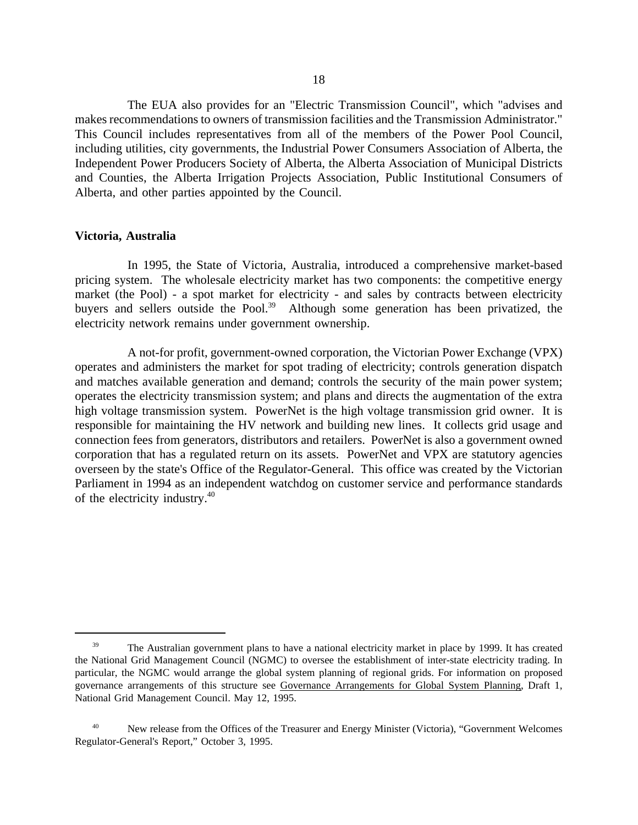The EUA also provides for an "Electric Transmission Council", which "advises and makes recommendations to owners of transmission facilities and the Transmission Administrator." This Council includes representatives from all of the members of the Power Pool Council, including utilities, city governments, the Industrial Power Consumers Association of Alberta, the Independent Power Producers Society of Alberta, the Alberta Association of Municipal Districts and Counties, the Alberta Irrigation Projects Association, Public Institutional Consumers of Alberta, and other parties appointed by the Council.

#### **Victoria, Australia**

In 1995, the State of Victoria, Australia, introduced a comprehensive market-based pricing system. The wholesale electricity market has two components: the competitive energy market (the Pool) - a spot market for electricity - and sales by contracts between electricity buyers and sellers outside the Pool.<sup>39</sup> Although some generation has been privatized, the electricity network remains under government ownership.

A not-for profit, government-owned corporation, the Victorian Power Exchange (VPX) operates and administers the market for spot trading of electricity; controls generation dispatch and matches available generation and demand; controls the security of the main power system; operates the electricity transmission system; and plans and directs the augmentation of the extra high voltage transmission system. PowerNet is the high voltage transmission grid owner. It is responsible for maintaining the HV network and building new lines. It collects grid usage and connection fees from generators, distributors and retailers. PowerNet is also a government owned corporation that has a regulated return on its assets. PowerNet and VPX are statutory agencies overseen by the state's Office of the Regulator-General. This office was created by the Victorian Parliament in 1994 as an independent watchdog on customer service and performance standards of the electricity industry.40

<sup>&</sup>lt;sup>39</sup> The Australian government plans to have a national electricity market in place by 1999. It has created the National Grid Management Council (NGMC) to oversee the establishment of inter-state electricity trading. In particular, the NGMC would arrange the global system planning of regional grids. For information on proposed governance arrangements of this structure see Governance Arrangements for Global System Planning, Draft 1, National Grid Management Council. May 12, 1995.

New release from the Offices of the Treasurer and Energy Minister (Victoria), "Government Welcomes Regulator-General's Report," October 3, 1995.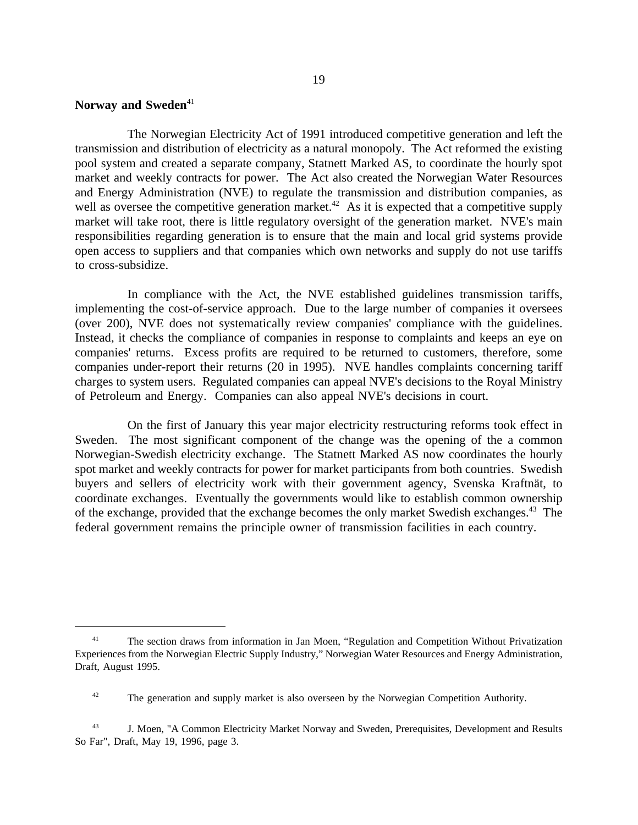### Norway and Sweden<sup>41</sup>

The Norwegian Electricity Act of 1991 introduced competitive generation and left the transmission and distribution of electricity as a natural monopoly. The Act reformed the existing pool system and created a separate company, Statnett Marked AS, to coordinate the hourly spot market and weekly contracts for power. The Act also created the Norwegian Water Resources and Energy Administration (NVE) to regulate the transmission and distribution companies, as well as oversee the competitive generation market.<sup>42</sup> As it is expected that a competitive supply market will take root, there is little regulatory oversight of the generation market. NVE's main responsibilities regarding generation is to ensure that the main and local grid systems provide open access to suppliers and that companies which own networks and supply do not use tariffs to cross-subsidize.

In compliance with the Act, the NVE established guidelines transmission tariffs, implementing the cost-of-service approach. Due to the large number of companies it oversees (over 200), NVE does not systematically review companies' compliance with the guidelines. Instead, it checks the compliance of companies in response to complaints and keeps an eye on companies' returns. Excess profits are required to be returned to customers, therefore, some companies under-report their returns (20 in 1995). NVE handles complaints concerning tariff charges to system users. Regulated companies can appeal NVE's decisions to the Royal Ministry of Petroleum and Energy. Companies can also appeal NVE's decisions in court.

On the first of January this year major electricity restructuring reforms took effect in Sweden. The most significant component of the change was the opening of the a common Norwegian-Swedish electricity exchange. The Statnett Marked AS now coordinates the hourly spot market and weekly contracts for power for market participants from both countries. Swedish buyers and sellers of electricity work with their government agency, Svenska Kraftnät, to coordinate exchanges. Eventually the governments would like to establish common ownership of the exchange, provided that the exchange becomes the only market Swedish exchanges.<sup>43</sup> The federal government remains the principle owner of transmission facilities in each country.

The section draws from information in Jan Moen, "Regulation and Competition Without Privatization Experiences from the Norwegian Electric Supply Industry," Norwegian Water Resources and Energy Administration, Draft, August 1995.

<sup>&</sup>lt;sup>42</sup> The generation and supply market is also overseen by the Norwegian Competition Authority.

<sup>&</sup>lt;sup>43</sup> J. Moen, "A Common Electricity Market Norway and Sweden, Prerequisites, Development and Results So Far", Draft, May 19, 1996, page 3.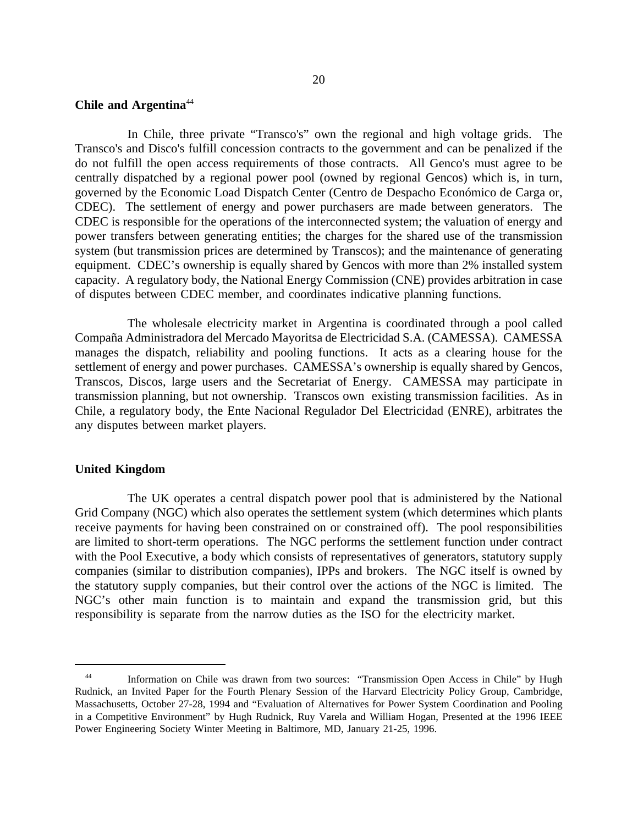### **Chile and Argentina**<sup>44</sup>

In Chile, three private "Transco's" own the regional and high voltage grids. The Transco's and Disco's fulfill concession contracts to the government and can be penalized if the do not fulfill the open access requirements of those contracts. All Genco's must agree to be centrally dispatched by a regional power pool (owned by regional Gencos) which is, in turn, governed by the Economic Load Dispatch Center (Centro de Despacho Económico de Carga or, CDEC). The settlement of energy and power purchasers are made between generators. The CDEC is responsible for the operations of the interconnected system; the valuation of energy and power transfers between generating entities; the charges for the shared use of the transmission system (but transmission prices are determined by Transcos); and the maintenance of generating equipment. CDEC's ownership is equally shared by Gencos with more than 2% installed system capacity. A regulatory body, the National Energy Commission (CNE) provides arbitration in case of disputes between CDEC member, and coordinates indicative planning functions.

The wholesale electricity market in Argentina is coordinated through a pool called Compaña Administradora del Mercado Mayoritsa de Electricidad S.A. (CAMESSA). CAMESSA manages the dispatch, reliability and pooling functions. It acts as a clearing house for the settlement of energy and power purchases. CAMESSA's ownership is equally shared by Gencos, Transcos, Discos, large users and the Secretariat of Energy. CAMESSA may participate in transmission planning, but not ownership. Transcos own existing transmission facilities. As in Chile, a regulatory body, the Ente Nacional Regulador Del Electricidad (ENRE), arbitrates the any disputes between market players.

### **United Kingdom**

The UK operates a central dispatch power pool that is administered by the National Grid Company (NGC) which also operates the settlement system (which determines which plants receive payments for having been constrained on or constrained off). The pool responsibilities are limited to short-term operations. The NGC performs the settlement function under contract with the Pool Executive, a body which consists of representatives of generators, statutory supply companies (similar to distribution companies), IPPs and brokers. The NGC itself is owned by the statutory supply companies, but their control over the actions of the NGC is limited. The NGC's other main function is to maintain and expand the transmission grid, but this responsibility is separate from the narrow duties as the ISO for the electricity market.

<sup>44</sup> Information on Chile was drawn from two sources: "Transmission Open Access in Chile" by Hugh Rudnick, an Invited Paper for the Fourth Plenary Session of the Harvard Electricity Policy Group, Cambridge, Massachusetts, October 27-28, 1994 and "Evaluation of Alternatives for Power System Coordination and Pooling in a Competitive Environment" by Hugh Rudnick, Ruy Varela and William Hogan, Presented at the 1996 IEEE Power Engineering Society Winter Meeting in Baltimore, MD, January 21-25, 1996.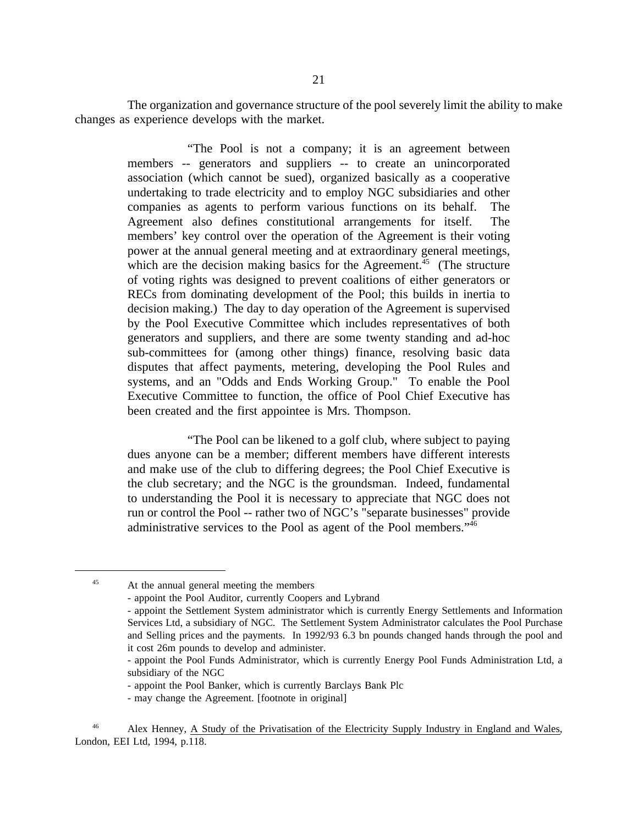The organization and governance structure of the pool severely limit the ability to make changes as experience develops with the market.

> "The Pool is not a company; it is an agreement between members -- generators and suppliers -- to create an unincorporated association (which cannot be sued), organized basically as a cooperative undertaking to trade electricity and to employ NGC subsidiaries and other companies as agents to perform various functions on its behalf. The Agreement also defines constitutional arrangements for itself. The members' key control over the operation of the Agreement is their voting power at the annual general meeting and at extraordinary general meetings, which are the decision making basics for the Agreement.<sup>45</sup> (The structure of voting rights was designed to prevent coalitions of either generators or RECs from dominating development of the Pool; this builds in inertia to decision making.) The day to day operation of the Agreement is supervised by the Pool Executive Committee which includes representatives of both generators and suppliers, and there are some twenty standing and ad-hoc sub-committees for (among other things) finance, resolving basic data disputes that affect payments, metering, developing the Pool Rules and systems, and an "Odds and Ends Working Group." To enable the Pool Executive Committee to function, the office of Pool Chief Executive has been created and the first appointee is Mrs. Thompson.

> "The Pool can be likened to a golf club, where subject to paying dues anyone can be a member; different members have different interests and make use of the club to differing degrees; the Pool Chief Executive is the club secretary; and the NGC is the groundsman. Indeed, fundamental to understanding the Pool it is necessary to appreciate that NGC does not run or control the Pool -- rather two of NGC's "separate businesses" provide administrative services to the Pool as agent of the Pool members."46

<sup>45</sup> At the annual general meeting the members

<sup>-</sup> appoint the Pool Auditor, currently Coopers and Lybrand

<sup>-</sup> appoint the Settlement System administrator which is currently Energy Settlements and Information Services Ltd, a subsidiary of NGC. The Settlement System Administrator calculates the Pool Purchase and Selling prices and the payments. In 1992/93 6.3 bn pounds changed hands through the pool and it cost 26m pounds to develop and administer.

<sup>-</sup> appoint the Pool Funds Administrator, which is currently Energy Pool Funds Administration Ltd, a subsidiary of the NGC

<sup>-</sup> appoint the Pool Banker, which is currently Barclays Bank Plc

<sup>-</sup> may change the Agreement. [footnote in original]

Alex Henney, A Study of the Privatisation of the Electricity Supply Industry in England and Wales, London, EEI Ltd, 1994, p.118.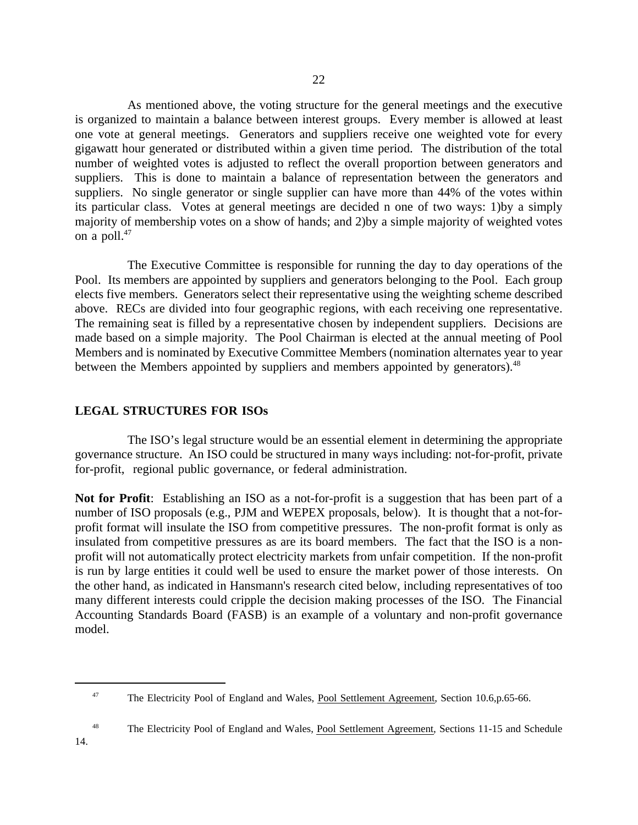As mentioned above, the voting structure for the general meetings and the executive is organized to maintain a balance between interest groups. Every member is allowed at least one vote at general meetings. Generators and suppliers receive one weighted vote for every gigawatt hour generated or distributed within a given time period. The distribution of the total number of weighted votes is adjusted to reflect the overall proportion between generators and suppliers. This is done to maintain a balance of representation between the generators and suppliers. No single generator or single supplier can have more than 44% of the votes within its particular class. Votes at general meetings are decided n one of two ways: 1)by a simply majority of membership votes on a show of hands; and 2)by a simple majority of weighted votes on a poll.<sup>47</sup>

The Executive Committee is responsible for running the day to day operations of the Pool. Its members are appointed by suppliers and generators belonging to the Pool. Each group elects five members. Generators select their representative using the weighting scheme described above. RECs are divided into four geographic regions, with each receiving one representative. The remaining seat is filled by a representative chosen by independent suppliers. Decisions are made based on a simple majority. The Pool Chairman is elected at the annual meeting of Pool Members and is nominated by Executive Committee Members (nomination alternates year to year between the Members appointed by suppliers and members appointed by generators).<sup>48</sup>

#### **LEGAL STRUCTURES FOR ISOs**

The ISO's legal structure would be an essential element in determining the appropriate governance structure. An ISO could be structured in many ways including: not-for-profit, private for-profit, regional public governance, or federal administration.

**Not for Profit**: Establishing an ISO as a not-for-profit is a suggestion that has been part of a number of ISO proposals (e.g., PJM and WEPEX proposals, below). It is thought that a not-forprofit format will insulate the ISO from competitive pressures. The non-profit format is only as insulated from competitive pressures as are its board members. The fact that the ISO is a nonprofit will not automatically protect electricity markets from unfair competition. If the non-profit is run by large entities it could well be used to ensure the market power of those interests. On the other hand, as indicated in Hansmann's research cited below, including representatives of too many different interests could cripple the decision making processes of the ISO. The Financial Accounting Standards Board (FASB) is an example of a voluntary and non-profit governance model.

14.

<sup>&</sup>lt;sup>47</sup> The Electricity Pool of England and Wales, Pool Settlement Agreement, Section 10.6,p.65-66.

<sup>&</sup>lt;sup>48</sup> The Electricity Pool of England and Wales, Pool Settlement Agreement, Sections 11-15 and Schedule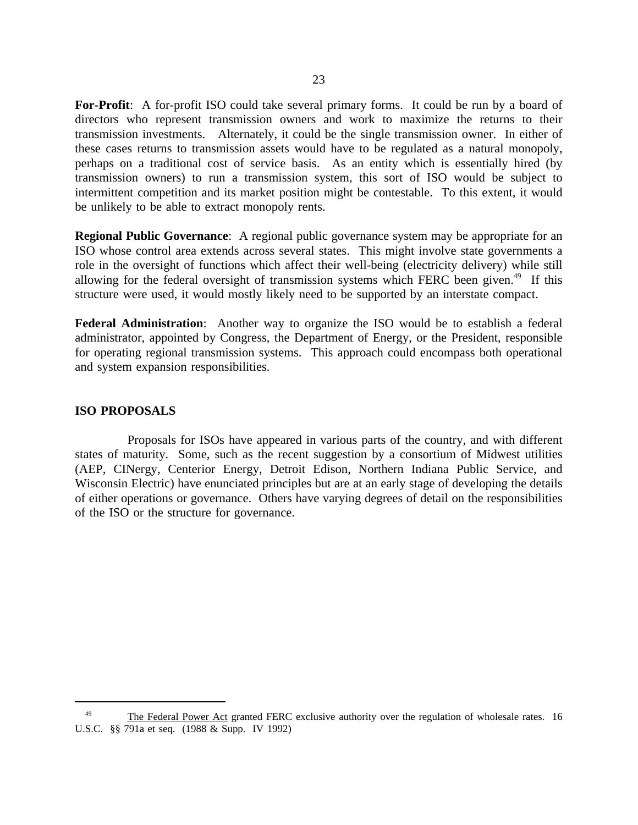**For-Profit**: A for-profit ISO could take several primary forms. It could be run by a board of directors who represent transmission owners and work to maximize the returns to their transmission investments. Alternately, it could be the single transmission owner. In either of these cases returns to transmission assets would have to be regulated as a natural monopoly, perhaps on a traditional cost of service basis. As an entity which is essentially hired (by transmission owners) to run a transmission system, this sort of ISO would be subject to intermittent competition and its market position might be contestable. To this extent, it would be unlikely to be able to extract monopoly rents.

**Regional Public Governance**: A regional public governance system may be appropriate for an ISO whose control area extends across several states. This might involve state governments a role in the oversight of functions which affect their well-being (electricity delivery) while still allowing for the federal oversight of transmission systems which FERC been given.<sup>49</sup> If this structure were used, it would mostly likely need to be supported by an interstate compact.

**Federal Administration**: Another way to organize the ISO would be to establish a federal administrator, appointed by Congress, the Department of Energy, or the President, responsible for operating regional transmission systems. This approach could encompass both operational and system expansion responsibilities.

### **ISO PROPOSALS**

Proposals for ISOs have appeared in various parts of the country, and with different states of maturity. Some, such as the recent suggestion by a consortium of Midwest utilities (AEP, CINergy, Centerior Energy, Detroit Edison, Northern Indiana Public Service, and Wisconsin Electric) have enunciated principles but are at an early stage of developing the details of either operations or governance. Others have varying degrees of detail on the responsibilities of the ISO or the structure for governance.

<sup>&</sup>lt;sup>49</sup> The Federal Power Act granted FERC exclusive authority over the regulation of wholesale rates. 16 U.S.C. §§ 791a et seq. (1988 & Supp. IV 1992)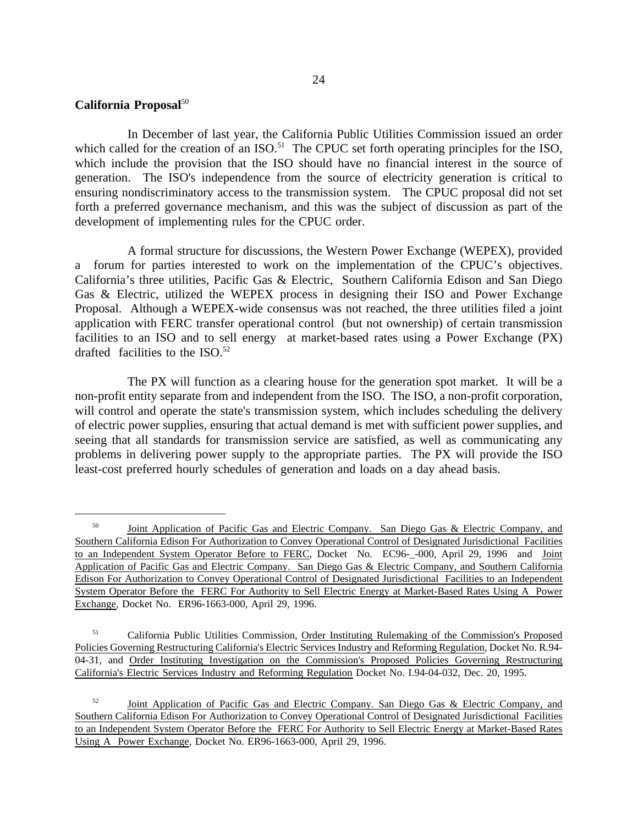### **California Proposal**<sup>50</sup>

In December of last year, the California Public Utilities Commission issued an order which called for the creation of an ISO.<sup>51</sup> The CPUC set forth operating principles for the ISO, which include the provision that the ISO should have no financial interest in the source of generation. The ISO's independence from the source of electricity generation is critical to ensuring nondiscriminatory access to the transmission system. The CPUC proposal did not set forth a preferred governance mechanism, and this was the subject of discussion as part of the development of implementing rules for the CPUC order.

A formal structure for discussions, the Western Power Exchange (WEPEX), provided a forum for parties interested to work on the implementation of the CPUC's objectives. California's three utilities, Pacific Gas & Electric, Southern California Edison and San Diego Gas & Electric, utilized the WEPEX process in designing their ISO and Power Exchange Proposal. Although a WEPEX-wide consensus was not reached, the three utilities filed a joint application with FERC transfer operational control (but not ownership) of certain transmission facilities to an ISO and to sell energy at market-based rates using a Power Exchange (PX) drafted facilities to the  $ISO$ <sup>52</sup>

The PX will function as a clearing house for the generation spot market. It will be a non-profit entity separate from and independent from the ISO. The ISO, a non-profit corporation, will control and operate the state's transmission system, which includes scheduling the delivery of electric power supplies, ensuring that actual demand is met with sufficient power supplies, and seeing that all standards for transmission service are satisfied, as well as communicating any problems in delivering power supply to the appropriate parties. The PX will provide the ISO least-cost preferred hourly schedules of generation and loads on a day ahead basis.

<sup>&</sup>lt;sup>50</sup> Joint Application of Pacific Gas and Electric Company. San Diego Gas & Electric Company, and Southern California Edison For Authorization to Convey Operational Control of Designated Jurisdictional Facilities to an Independent System Operator Before to FERC, Docket No. EC96-\_-000*,* April 29, 1996 and Joint Application of Pacific Gas and Electric Company. San Diego Gas & Electric Company, and Southern California Edison For Authorization to Convey Operational Control of Designated Jurisdictional Facilities to an Independent System Operator Before the FERC For Authority to Sell Electric Energy at Market-Based Rates Using A Power Exchange, Docket No. ER96-1663-000*,* April 29, 1996.

<sup>51</sup> California Public Utilities Commission, Order Instituting Rulemaking of the Commission's Proposed Policies Governing Restructuring California's Electric Services Industry and Reforming Regulation, Docket No. R.94- 04-31, and Order Instituting Investigation on the Commission's Proposed Policies Governing Restructuring California's Electric Services Industry and Reforming Regulation Docket No. I.94-04-032, Dec. 20, 1995.

<sup>&</sup>lt;sup>52</sup> Joint Application of Pacific Gas and Electric Company. San Diego Gas & Electric Company, and Southern California Edison For Authorization to Convey Operational Control of Designated Jurisdictional Facilities to an Independent System Operator Before the FERC For Authority to Sell Electric Energy at Market-Based Rates Using A Power Exchange, Docket No. ER96-1663-000*,* April 29, 1996.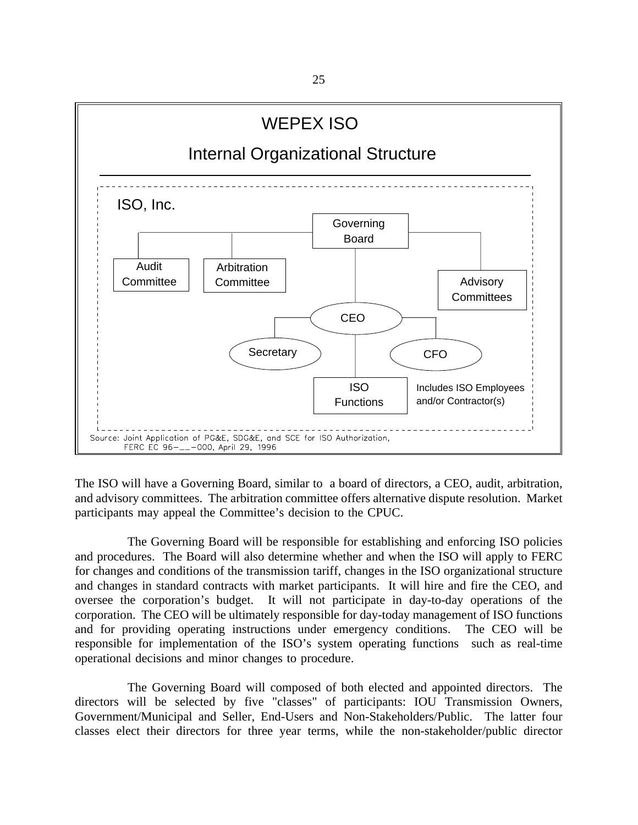

The ISO will have a Governing Board, similar to a board of directors, a CEO, audit, arbitration, and advisory committees. The arbitration committee offers alternative dispute resolution. Market participants may appeal the Committee's decision to the CPUC.

The Governing Board will be responsible for establishing and enforcing ISO policies and procedures. The Board will also determine whether and when the ISO will apply to FERC for changes and conditions of the transmission tariff, changes in the ISO organizational structure and changes in standard contracts with market participants. It will hire and fire the CEO, and oversee the corporation's budget. It will not participate in day-to-day operations of the corporation. The CEO will be ultimately responsible for day-today management of ISO functions and for providing operating instructions under emergency conditions. The CEO will be responsible for implementation of the ISO's system operating functions such as real-time operational decisions and minor changes to procedure.

The Governing Board will composed of both elected and appointed directors. The directors will be selected by five "classes" of participants: IOU Transmission Owners, Government/Municipal and Seller, End-Users and Non-Stakeholders/Public. The latter four classes elect their directors for three year terms, while the non-stakeholder/public director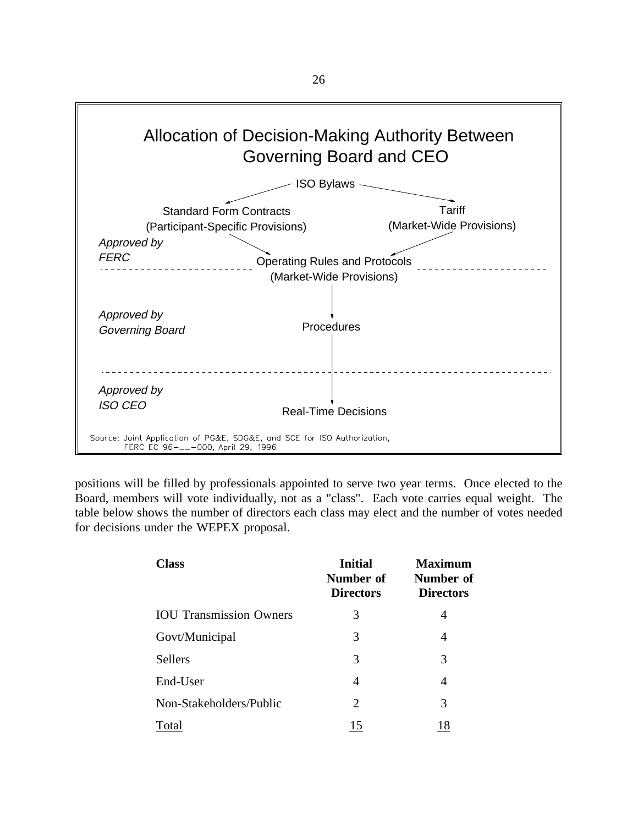

positions will be filled by professionals appointed to serve two year terms. Once elected to the Board, members will vote individually, not as a "class". Each vote carries equal weight. The table below shows the number of directors each class may elect and the number of votes needed for decisions under the WEPEX proposal.

| <b>Class</b>                   | <b>Initial</b><br>Number of<br><b>Directors</b> | Maximum<br>Number of<br><b>Directors</b> |
|--------------------------------|-------------------------------------------------|------------------------------------------|
| <b>IOU Transmission Owners</b> | 3                                               | 4                                        |
| Govt/Municipal                 | 3                                               | 4                                        |
| Sellers                        | 3                                               | 3                                        |
| End-User                       | 4                                               | 4                                        |
| Non-Stakeholders/Public        | 2                                               | 3                                        |
| Total                          | 15                                              | 18                                       |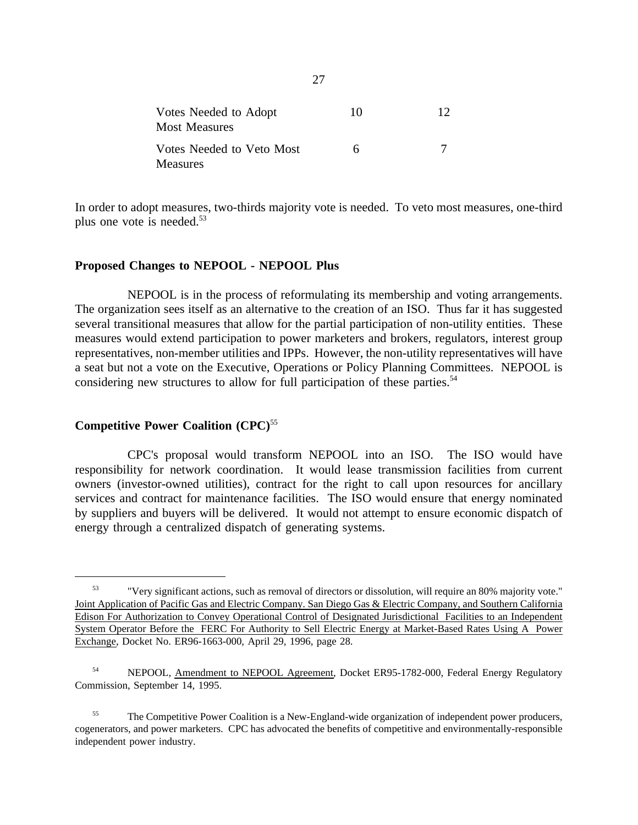| Votes Needed to Adopt<br><b>Most Measures</b> | 10 |  |
|-----------------------------------------------|----|--|
| Votes Needed to Veto Most<br><b>Measures</b>  | h  |  |

In order to adopt measures, two-thirds majority vote is needed. To veto most measures, one-third plus one vote is needed. $53$ 

### **Proposed Changes to NEPOOL - NEPOOL Plus**

NEPOOL is in the process of reformulating its membership and voting arrangements. The organization sees itself as an alternative to the creation of an ISO. Thus far it has suggested several transitional measures that allow for the partial participation of non-utility entities. These measures would extend participation to power marketers and brokers, regulators, interest group representatives, non-member utilities and IPPs. However, the non-utility representatives will have a seat but not a vote on the Executive, Operations or Policy Planning Committees. NEPOOL is considering new structures to allow for full participation of these parties.<sup>54</sup>

### **Competitive Power Coalition (CPC)**<sup>55</sup>

CPC's proposal would transform NEPOOL into an ISO. The ISO would have responsibility for network coordination. It would lease transmission facilities from current owners (investor-owned utilities), contract for the right to call upon resources for ancillary services and contract for maintenance facilities. The ISO would ensure that energy nominated by suppliers and buyers will be delivered. It would not attempt to ensure economic dispatch of energy through a centralized dispatch of generating systems.

<sup>53</sup> "Very significant actions, such as removal of directors or dissolution, will require an 80% majority vote." Joint Application of Pacific Gas and Electric Company. San Diego Gas & Electric Company, and Southern California Edison For Authorization to Convey Operational Control of Designated Jurisdictional Facilities to an Independent System Operator Before the FERC For Authority to Sell Electric Energy at Market-Based Rates Using A Power Exchange, Docket No. ER96-1663-000*,* April 29, 1996, page 28.

<sup>54</sup> NEPOOL, Amendment to NEPOOL Agreement, Docket ER95-1782-000, Federal Energy Regulatory Commission, September 14, 1995.

<sup>&</sup>lt;sup>55</sup> The Competitive Power Coalition is a New-England-wide organization of independent power producers, cogenerators, and power marketers. CPC has advocated the benefits of competitive and environmentally-responsible independent power industry.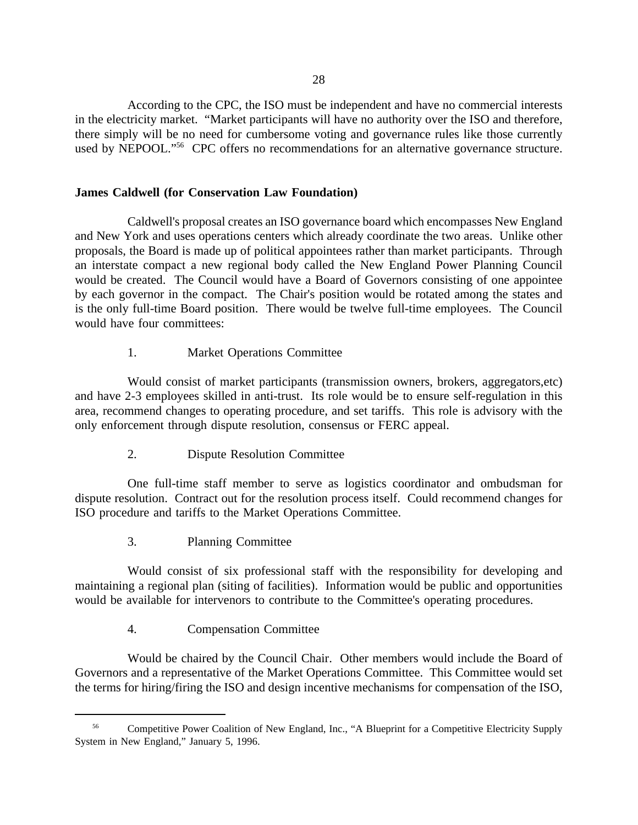According to the CPC, the ISO must be independent and have no commercial interests in the electricity market. "Market participants will have no authority over the ISO and therefore, there simply will be no need for cumbersome voting and governance rules like those currently used by NEPOOL."<sup>56</sup> CPC offers no recommendations for an alternative governance structure.

### **James Caldwell (for Conservation Law Foundation)**

Caldwell's proposal creates an ISO governance board which encompasses New England and New York and uses operations centers which already coordinate the two areas. Unlike other proposals, the Board is made up of political appointees rather than market participants. Through an interstate compact a new regional body called the New England Power Planning Council would be created. The Council would have a Board of Governors consisting of one appointee by each governor in the compact. The Chair's position would be rotated among the states and is the only full-time Board position. There would be twelve full-time employees. The Council would have four committees:

1. Market Operations Committee

Would consist of market participants (transmission owners, brokers, aggregators,etc) and have 2-3 employees skilled in anti-trust. Its role would be to ensure self-regulation in this area, recommend changes to operating procedure, and set tariffs. This role is advisory with the only enforcement through dispute resolution, consensus or FERC appeal.

2. Dispute Resolution Committee

One full-time staff member to serve as logistics coordinator and ombudsman for dispute resolution. Contract out for the resolution process itself. Could recommend changes for ISO procedure and tariffs to the Market Operations Committee.

3. Planning Committee

Would consist of six professional staff with the responsibility for developing and maintaining a regional plan (siting of facilities). Information would be public and opportunities would be available for intervenors to contribute to the Committee's operating procedures.

4. Compensation Committee

Would be chaired by the Council Chair. Other members would include the Board of Governors and a representative of the Market Operations Committee. This Committee would set the terms for hiring/firing the ISO and design incentive mechanisms for compensation of the ISO,

<sup>&</sup>lt;sup>56</sup> Competitive Power Coalition of New England, Inc., "A Blueprint for a Competitive Electricity Supply System in New England," January 5, 1996.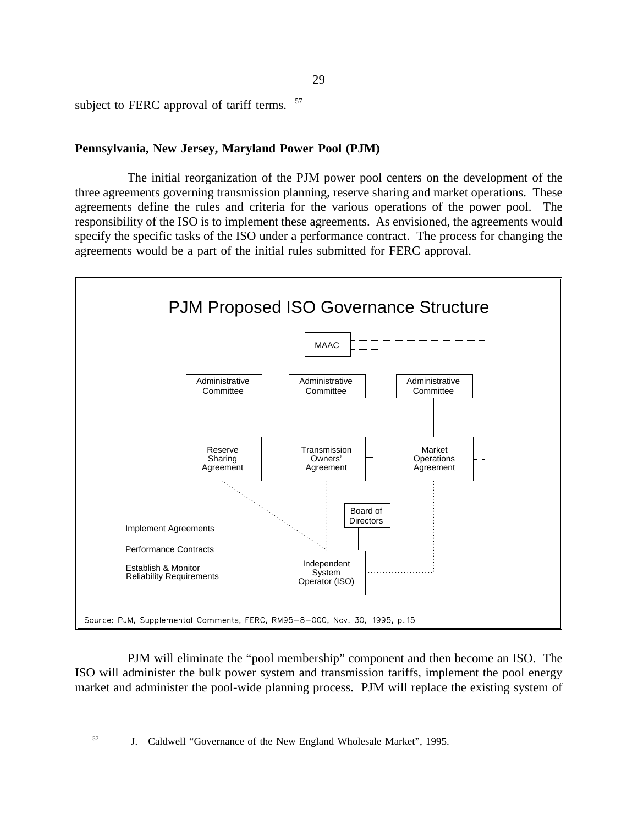subject to FERC approval of tariff terms.  $57$ 

### **Pennsylvania, New Jersey, Maryland Power Pool (PJM)**

The initial reorganization of the PJM power pool centers on the development of the three agreements governing transmission planning, reserve sharing and market operations. These agreements define the rules and criteria for the various operations of the power pool. The responsibility of the ISO is to implement these agreements. As envisioned, the agreements would specify the specific tasks of the ISO under a performance contract. The process for changing the agreements would be a part of the initial rules submitted for FERC approval.



PJM will eliminate the "pool membership" component and then become an ISO. The ISO will administer the bulk power system and transmission tariffs, implement the pool energy market and administer the pool-wide planning process. PJM will replace the existing system of

<sup>57</sup> J. Caldwell "Governance of the New England Wholesale Market", 1995.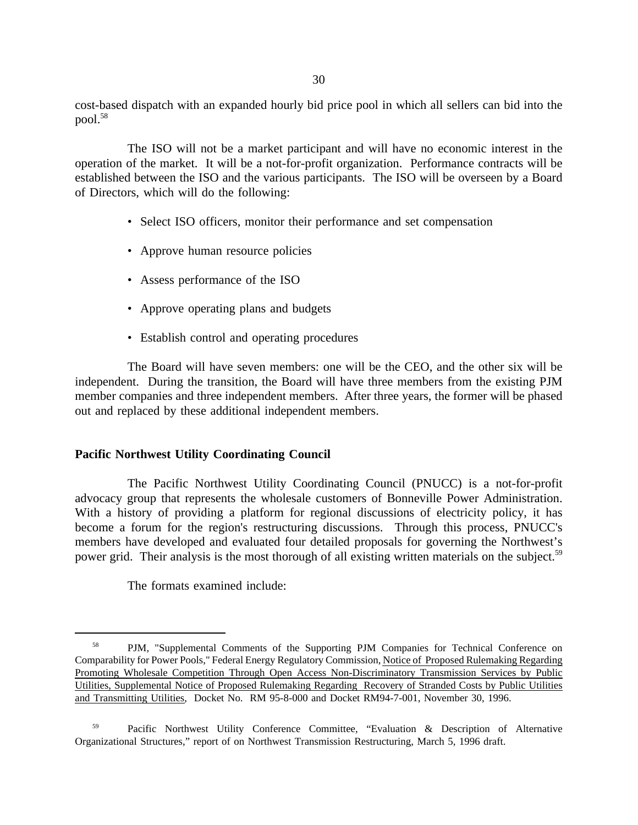cost-based dispatch with an expanded hourly bid price pool in which all sellers can bid into the pool.58

The ISO will not be a market participant and will have no economic interest in the operation of the market. It will be a not-for-profit organization. Performance contracts will be established between the ISO and the various participants. The ISO will be overseen by a Board of Directors, which will do the following:

- Select ISO officers, monitor their performance and set compensation
- Approve human resource policies
- Assess performance of the ISO
- Approve operating plans and budgets
- Establish control and operating procedures

The Board will have seven members: one will be the CEO, and the other six will be independent. During the transition, the Board will have three members from the existing PJM member companies and three independent members. After three years, the former will be phased out and replaced by these additional independent members.

### **Pacific Northwest Utility Coordinating Council**

The Pacific Northwest Utility Coordinating Council (PNUCC) is a not-for-profit advocacy group that represents the wholesale customers of Bonneville Power Administration. With a history of providing a platform for regional discussions of electricity policy, it has become a forum for the region's restructuring discussions. Through this process, PNUCC's members have developed and evaluated four detailed proposals for governing the Northwest's power grid. Their analysis is the most thorough of all existing written materials on the subject.<sup>59</sup>

The formats examined include:

<sup>58</sup> PJM, "Supplemental Comments of the Supporting PJM Companies for Technical Conference on Comparability for Power Pools," Federal Energy Regulatory Commission, Notice of Proposed Rulemaking Regarding Promoting Wholesale Competition Through Open Access Non-Discriminatory Transmission Services by Public Utilities, Supplemental Notice of Proposed Rulemaking Regarding Recovery of Stranded Costs by Public Utilities and Transmitting Utilities, Docket No. RM 95-8-000 and Docket RM94-7-001, November 30, 1996.

<sup>59</sup> Pacific Northwest Utility Conference Committee, "Evaluation & Description of Alternative Organizational Structures," report of on Northwest Transmission Restructuring, March 5, 1996 draft.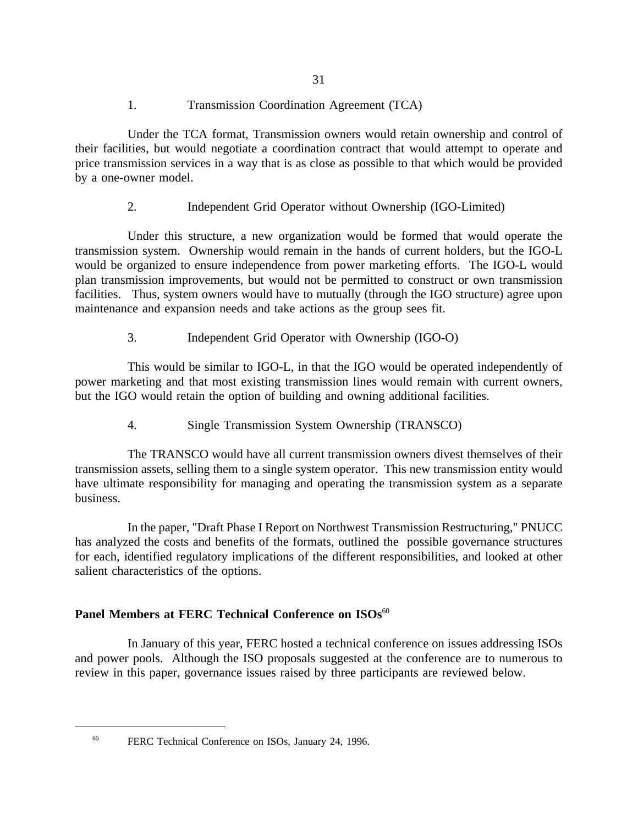Under the TCA format, Transmission owners would retain ownership and control of their facilities, but would negotiate a coordination contract that would attempt to operate and price transmission services in a way that is as close as possible to that which would be provided by a one-owner model.

# 2. Independent Grid Operator without Ownership (IGO-Limited)

Under this structure, a new organization would be formed that would operate the transmission system. Ownership would remain in the hands of current holders, but the IGO-L would be organized to ensure independence from power marketing efforts. The IGO-L would plan transmission improvements, but would not be permitted to construct or own transmission facilities. Thus, system owners would have to mutually (through the IGO structure) agree upon maintenance and expansion needs and take actions as the group sees fit.

# 3. Independent Grid Operator with Ownership (IGO-O)

This would be similar to IGO-L, in that the IGO would be operated independently of power marketing and that most existing transmission lines would remain with current owners, but the IGO would retain the option of building and owning additional facilities.

4. Single Transmission System Ownership (TRANSCO)

The TRANSCO would have all current transmission owners divest themselves of their transmission assets, selling them to a single system operator. This new transmission entity would have ultimate responsibility for managing and operating the transmission system as a separate business.

In the paper, "Draft Phase I Report on Northwest Transmission Restructuring," PNUCC has analyzed the costs and benefits of the formats, outlined the possible governance structures for each, identified regulatory implications of the different responsibilities, and looked at other salient characteristics of the options.

# Panel Members at FERC Technical Conference on ISOs<sup>60</sup>

In January of this year, FERC hosted a technical conference on issues addressing ISOs and power pools. Although the ISO proposals suggested at the conference are to numerous to review in this paper, governance issues raised by three participants are reviewed below.

<sup>&</sup>lt;sup>60</sup> FERC Technical Conference on ISOs, January 24, 1996.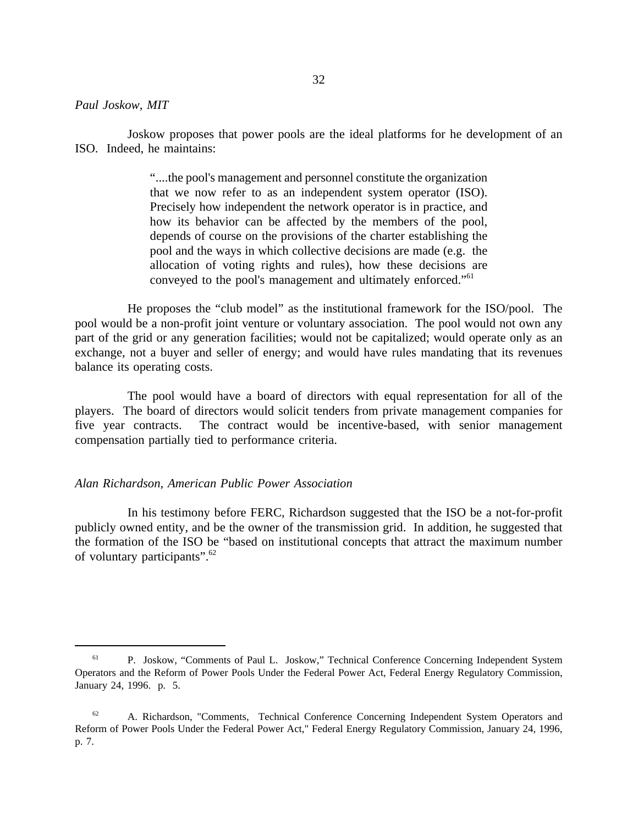### *Paul Joskow, MIT*

Joskow proposes that power pools are the ideal platforms for he development of an ISO. Indeed, he maintains:

> "....the pool's management and personnel constitute the organization that we now refer to as an independent system operator (ISO). Precisely how independent the network operator is in practice, and how its behavior can be affected by the members of the pool, depends of course on the provisions of the charter establishing the pool and the ways in which collective decisions are made (e.g. the allocation of voting rights and rules), how these decisions are conveyed to the pool's management and ultimately enforced."<sup>61</sup>

He proposes the "club model" as the institutional framework for the ISO/pool. The pool would be a non-profit joint venture or voluntary association. The pool would not own any part of the grid or any generation facilities; would not be capitalized; would operate only as an exchange, not a buyer and seller of energy; and would have rules mandating that its revenues balance its operating costs.

The pool would have a board of directors with equal representation for all of the players. The board of directors would solicit tenders from private management companies for five year contracts. The contract would be incentive-based, with senior management compensation partially tied to performance criteria.

### *Alan Richardson, American Public Power Association*

In his testimony before FERC, Richardson suggested that the ISO be a not-for-profit publicly owned entity, and be the owner of the transmission grid. In addition, he suggested that the formation of the ISO be "based on institutional concepts that attract the maximum number of voluntary participants".62

<sup>61</sup> P. Joskow, "Comments of Paul L. Joskow," Technical Conference Concerning Independent System Operators and the Reform of Power Pools Under the Federal Power Act, Federal Energy Regulatory Commission, January 24, 1996. p. 5.

<sup>&</sup>lt;sup>62</sup> A. Richardson, "Comments, Technical Conference Concerning Independent System Operators and Reform of Power Pools Under the Federal Power Act," Federal Energy Regulatory Commission, January 24, 1996, p. 7.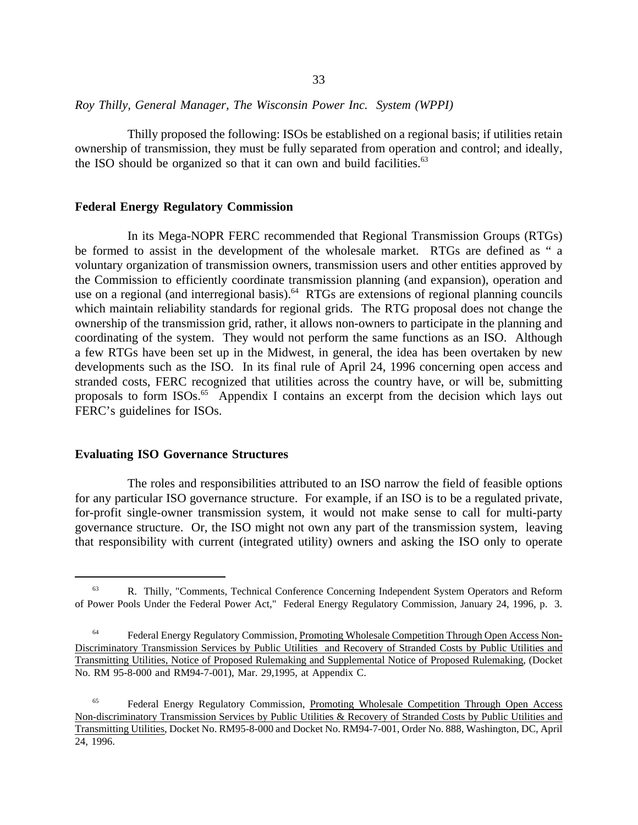*Roy Thilly, General Manager, The Wisconsin Power Inc. System (WPPI)*

Thilly proposed the following: ISOs be established on a regional basis; if utilities retain ownership of transmission, they must be fully separated from operation and control; and ideally, the ISO should be organized so that it can own and build facilities. $63$ 

### **Federal Energy Regulatory Commission**

In its Mega-NOPR FERC recommended that Regional Transmission Groups (RTGs) be formed to assist in the development of the wholesale market. RTGs are defined as " a voluntary organization of transmission owners, transmission users and other entities approved by the Commission to efficiently coordinate transmission planning (and expansion), operation and use on a regional (and interregional basis). $<sup>64</sup>$  RTGs are extensions of regional planning councils</sup> which maintain reliability standards for regional grids. The RTG proposal does not change the ownership of the transmission grid, rather, it allows non-owners to participate in the planning and coordinating of the system. They would not perform the same functions as an ISO. Although a few RTGs have been set up in the Midwest, in general, the idea has been overtaken by new developments such as the ISO. In its final rule of April 24, 1996 concerning open access and stranded costs, FERC recognized that utilities across the country have, or will be, submitting proposals to form  $ISOs.65$  Appendix I contains an excerpt from the decision which lays out FERC's guidelines for ISOs.

### **Evaluating ISO Governance Structures**

The roles and responsibilities attributed to an ISO narrow the field of feasible options for any particular ISO governance structure. For example, if an ISO is to be a regulated private, for-profit single-owner transmission system, it would not make sense to call for multi-party governance structure. Or, the ISO might not own any part of the transmission system, leaving that responsibility with current (integrated utility) owners and asking the ISO only to operate

<sup>&</sup>lt;sup>63</sup> R. Thilly, "Comments, Technical Conference Concerning Independent System Operators and Reform of Power Pools Under the Federal Power Act," Federal Energy Regulatory Commission, January 24, 1996, p. 3.

Federal Energy Regulatory Commission, Promoting Wholesale Competition Through Open Access Non-Discriminatory Transmission Services by Public Utilities and Recovery of Stranded Costs by Public Utilities and Transmitting Utilities, Notice of Proposed Rulemaking and Supplemental Notice of Proposed Rulemaking, (Docket No. RM 95-8-000 and RM94-7-001), Mar. 29,1995, at Appendix C.

<sup>&</sup>lt;sup>65</sup> Federal Energy Regulatory Commission, Promoting Wholesale Competition Through Open Access Non-discriminatory Transmission Services by Public Utilities & Recovery of Stranded Costs by Public Utilities and Transmitting Utilities, Docket No. RM95-8-000 and Docket No. RM94-7-001, Order No. 888, Washington, DC, April 24, 1996.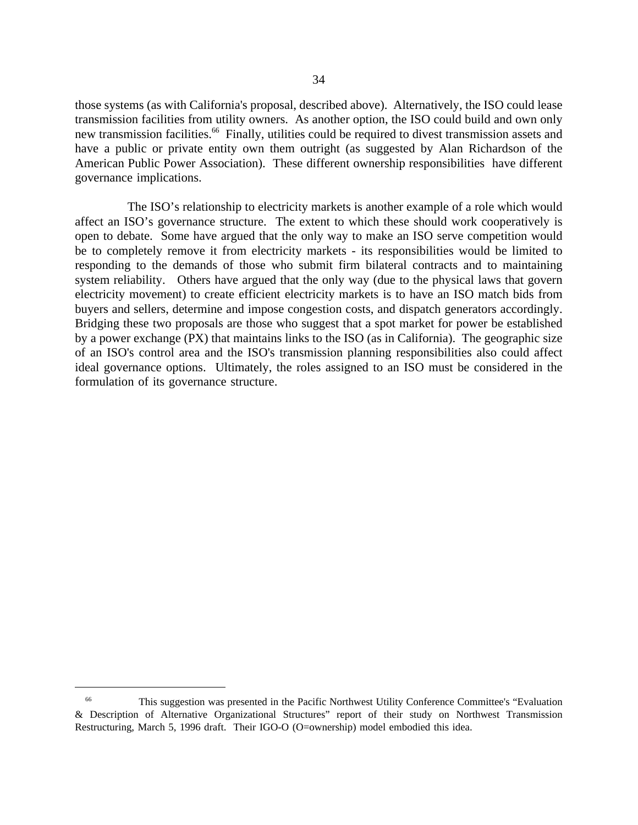those systems (as with California's proposal, described above). Alternatively, the ISO could lease transmission facilities from utility owners. As another option, the ISO could build and own only new transmission facilities.<sup>66</sup> Finally, utilities could be required to divest transmission assets and have a public or private entity own them outright (as suggested by Alan Richardson of the American Public Power Association). These different ownership responsibilities have different governance implications.

The ISO's relationship to electricity markets is another example of a role which would affect an ISO's governance structure. The extent to which these should work cooperatively is open to debate. Some have argued that the only way to make an ISO serve competition would be to completely remove it from electricity markets - its responsibilities would be limited to responding to the demands of those who submit firm bilateral contracts and to maintaining system reliability. Others have argued that the only way (due to the physical laws that govern electricity movement) to create efficient electricity markets is to have an ISO match bids from buyers and sellers, determine and impose congestion costs, and dispatch generators accordingly. Bridging these two proposals are those who suggest that a spot market for power be established by a power exchange (PX) that maintains links to the ISO (as in California). The geographic size of an ISO's control area and the ISO's transmission planning responsibilities also could affect ideal governance options. Ultimately, the roles assigned to an ISO must be considered in the formulation of its governance structure.

<sup>66</sup> This suggestion was presented in the Pacific Northwest Utility Conference Committee's "Evaluation & Description of Alternative Organizational Structures" report of their study on Northwest Transmission Restructuring, March 5, 1996 draft. Their IGO-O (O=ownership) model embodied this idea.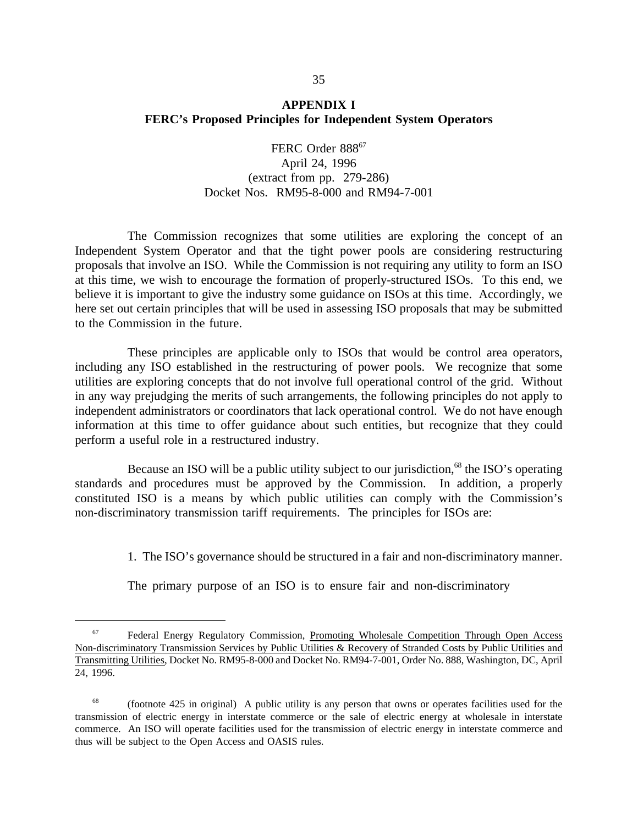### **APPENDIX I FERC's Proposed Principles for Independent System Operators**

FERC Order 888<sup>67</sup> April 24, 1996 (extract from pp. 279-286) Docket Nos. RM95-8-000 and RM94-7-001

The Commission recognizes that some utilities are exploring the concept of an Independent System Operator and that the tight power pools are considering restructuring proposals that involve an ISO. While the Commission is not requiring any utility to form an ISO at this time, we wish to encourage the formation of properly-structured ISOs. To this end, we believe it is important to give the industry some guidance on ISOs at this time. Accordingly, we here set out certain principles that will be used in assessing ISO proposals that may be submitted to the Commission in the future.

These principles are applicable only to ISOs that would be control area operators, including any ISO established in the restructuring of power pools. We recognize that some utilities are exploring concepts that do not involve full operational control of the grid. Without in any way prejudging the merits of such arrangements, the following principles do not apply to independent administrators or coordinators that lack operational control. We do not have enough information at this time to offer guidance about such entities, but recognize that they could perform a useful role in a restructured industry.

Because an ISO will be a public utility subject to our jurisdiction, $68$  the ISO's operating standards and procedures must be approved by the Commission. In addition, a properly constituted ISO is a means by which public utilities can comply with the Commission's non-discriminatory transmission tariff requirements. The principles for ISOs are:

1. The ISO's governance should be structured in a fair and non-discriminatory manner.

The primary purpose of an ISO is to ensure fair and non-discriminatory

<sup>&</sup>lt;sup>67</sup> Federal Energy Regulatory Commission, Promoting Wholesale Competition Through Open Access Non-discriminatory Transmission Services by Public Utilities & Recovery of Stranded Costs by Public Utilities and Transmitting Utilities, Docket No. RM95-8-000 and Docket No. RM94-7-001, Order No. 888, Washington, DC, April 24, 1996.

<sup>&</sup>lt;sup>68</sup> (footnote 425 in original) A public utility is any person that owns or operates facilities used for the transmission of electric energy in interstate commerce or the sale of electric energy at wholesale in interstate commerce. An ISO will operate facilities used for the transmission of electric energy in interstate commerce and thus will be subject to the Open Access and OASIS rules.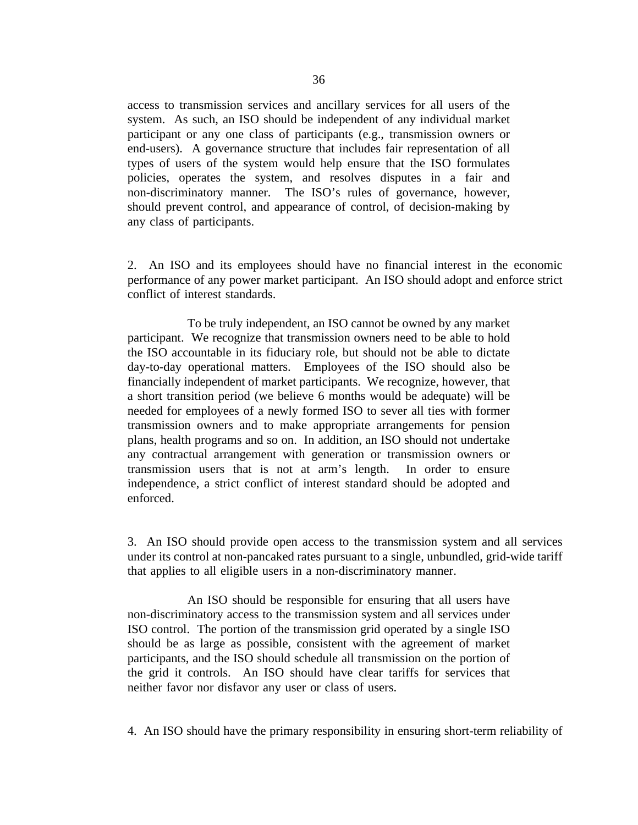access to transmission services and ancillary services for all users of the system. As such, an ISO should be independent of any individual market participant or any one class of participants (e.g., transmission owners or end-users). A governance structure that includes fair representation of all types of users of the system would help ensure that the ISO formulates policies, operates the system, and resolves disputes in a fair and non-discriminatory manner. The ISO's rules of governance, however, should prevent control, and appearance of control, of decision-making by any class of participants.

2. An ISO and its employees should have no financial interest in the economic performance of any power market participant. An ISO should adopt and enforce strict conflict of interest standards.

To be truly independent, an ISO cannot be owned by any market participant. We recognize that transmission owners need to be able to hold the ISO accountable in its fiduciary role, but should not be able to dictate day-to-day operational matters. Employees of the ISO should also be financially independent of market participants. We recognize, however, that a short transition period (we believe 6 months would be adequate) will be needed for employees of a newly formed ISO to sever all ties with former transmission owners and to make appropriate arrangements for pension plans, health programs and so on. In addition, an ISO should not undertake any contractual arrangement with generation or transmission owners or transmission users that is not at arm's length. In order to ensure independence, a strict conflict of interest standard should be adopted and enforced.

3. An ISO should provide open access to the transmission system and all services under its control at non-pancaked rates pursuant to a single, unbundled, grid-wide tariff that applies to all eligible users in a non-discriminatory manner.

An ISO should be responsible for ensuring that all users have non-discriminatory access to the transmission system and all services under ISO control. The portion of the transmission grid operated by a single ISO should be as large as possible, consistent with the agreement of market participants, and the ISO should schedule all transmission on the portion of the grid it controls. An ISO should have clear tariffs for services that neither favor nor disfavor any user or class of users.

4. An ISO should have the primary responsibility in ensuring short-term reliability of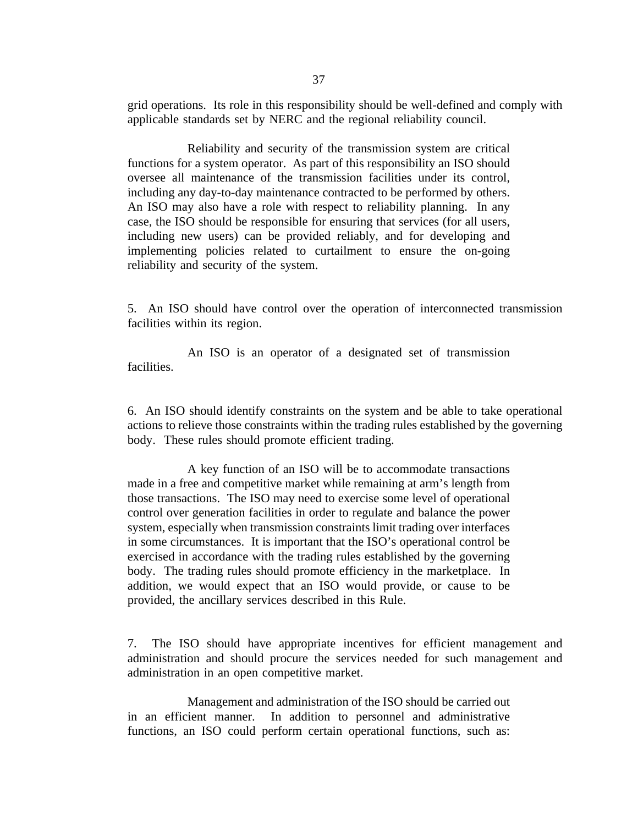grid operations. Its role in this responsibility should be well-defined and comply with applicable standards set by NERC and the regional reliability council.

Reliability and security of the transmission system are critical functions for a system operator. As part of this responsibility an ISO should oversee all maintenance of the transmission facilities under its control, including any day-to-day maintenance contracted to be performed by others. An ISO may also have a role with respect to reliability planning. In any case, the ISO should be responsible for ensuring that services (for all users, including new users) can be provided reliably, and for developing and implementing policies related to curtailment to ensure the on-going reliability and security of the system.

5. An ISO should have control over the operation of interconnected transmission facilities within its region.

An ISO is an operator of a designated set of transmission facilities.

6. An ISO should identify constraints on the system and be able to take operational actions to relieve those constraints within the trading rules established by the governing body. These rules should promote efficient trading.

A key function of an ISO will be to accommodate transactions made in a free and competitive market while remaining at arm's length from those transactions. The ISO may need to exercise some level of operational control over generation facilities in order to regulate and balance the power system, especially when transmission constraints limit trading over interfaces in some circumstances. It is important that the ISO's operational control be exercised in accordance with the trading rules established by the governing body. The trading rules should promote efficiency in the marketplace. In addition, we would expect that an ISO would provide, or cause to be provided, the ancillary services described in this Rule.

7. The ISO should have appropriate incentives for efficient management and administration and should procure the services needed for such management and administration in an open competitive market.

Management and administration of the ISO should be carried out in an efficient manner. In addition to personnel and administrative functions, an ISO could perform certain operational functions, such as: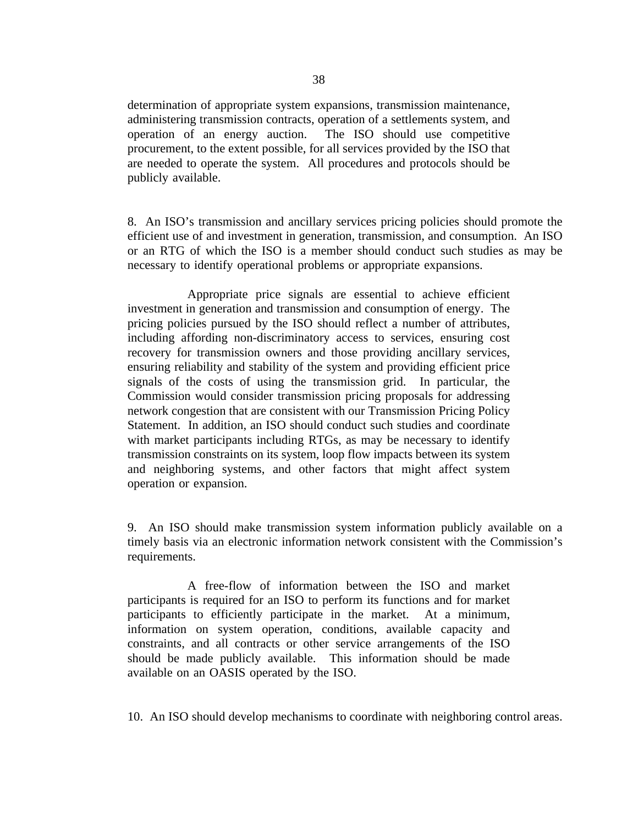determination of appropriate system expansions, transmission maintenance, administering transmission contracts, operation of a settlements system, and operation of an energy auction. The ISO should use competitive procurement, to the extent possible, for all services provided by the ISO that are needed to operate the system. All procedures and protocols should be publicly available.

8. An ISO's transmission and ancillary services pricing policies should promote the efficient use of and investment in generation, transmission, and consumption. An ISO or an RTG of which the ISO is a member should conduct such studies as may be necessary to identify operational problems or appropriate expansions.

Appropriate price signals are essential to achieve efficient investment in generation and transmission and consumption of energy. The pricing policies pursued by the ISO should reflect a number of attributes, including affording non-discriminatory access to services, ensuring cost recovery for transmission owners and those providing ancillary services, ensuring reliability and stability of the system and providing efficient price signals of the costs of using the transmission grid. In particular, the Commission would consider transmission pricing proposals for addressing network congestion that are consistent with our Transmission Pricing Policy Statement. In addition, an ISO should conduct such studies and coordinate with market participants including RTGs, as may be necessary to identify transmission constraints on its system, loop flow impacts between its system and neighboring systems, and other factors that might affect system operation or expansion.

9. An ISO should make transmission system information publicly available on a timely basis via an electronic information network consistent with the Commission's requirements.

A free-flow of information between the ISO and market participants is required for an ISO to perform its functions and for market participants to efficiently participate in the market. At a minimum, information on system operation, conditions, available capacity and constraints, and all contracts or other service arrangements of the ISO should be made publicly available. This information should be made available on an OASIS operated by the ISO.

10. An ISO should develop mechanisms to coordinate with neighboring control areas.